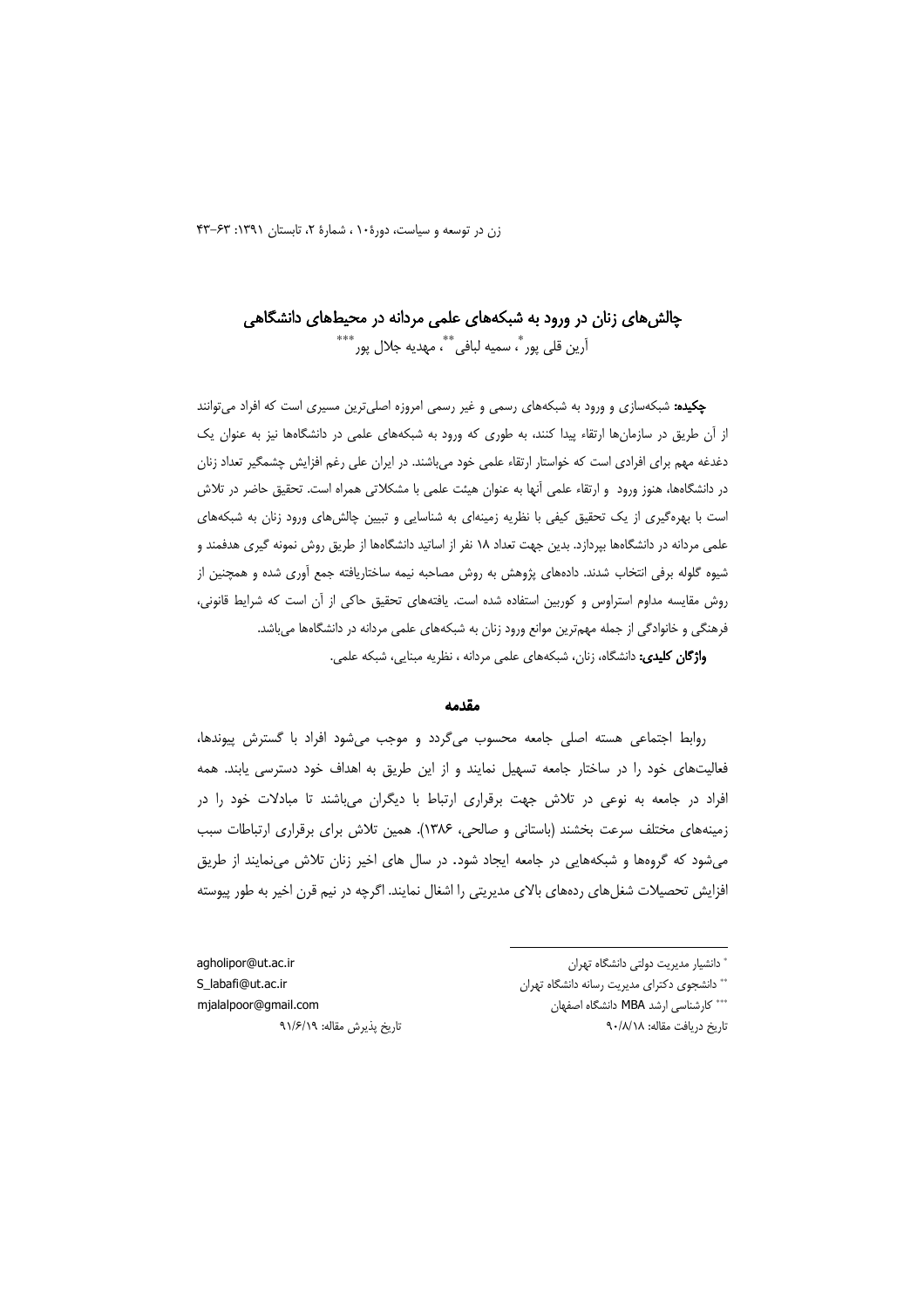# چالش های زنان در ورود به شبکههای علمی مردانه در محیطهای دانشگاهی آرين قلي پور ؒ، سميه لبافي ؒ ؒ، مهديه جلال پور ؒ ٗ

**چکیده:** شبکهسازی و ورود به شبکههای رسمی و غیر رسمی امروزه اصلی ترین مسیری است که افراد می توانند از آن طریق در سازمانها ارتقاء پیدا کنند، به طوری که ورود به شبکههای علمی در دانشگاهها نیز به عنوان یک دغدغه مهم برای افرادی است که خواستار ارتقاء علمی خود میباشند. در ایران علی رغم افزایش چشمگیر تعداد زنان در دانشگاهها، هنوز ورود ًو ارتقاء علمی آنها به عنوان هیئت علمی با مشکلاتی همراه است. تحقیق حاضر در تلاش است با بهرهگیری از یک تحقیق کیفی با نظریه زمینهای به شناسایی و تبیین چالشهای ورود زنان به شبکههای علمی مردانه در دانشگاهها بپردازد. بدین جهت تعداد ۱۸ نفر از اساتید دانشگاهها از طریق روش نمونه گیری هدفمند و شیوه گلوله برفی انتخاب شدند. دادههای پژوهش به روش مصاحبه نیمه ساختاریافته جمع آوری شده و همچنین از روش مقایسه مداوم استراوس و کوربین استفاده شده است. یافتههای تحقیق حاکی از آن است که شرایط قانونی، فرهنگی و خانوادگی از جمله مهمترین موانع ورود زنان به شبکههای علمی مردانه در دانشگاهها می باشد. واژگان کلیدی: دانشگاه، زنان، شبکههای علمی مردانه ، نظریه مبنایی، شبکه علمی.

#### مقدمه

روابط اجتماعی هسته اصلی جامعه محسوب می گردد و موجب می شود افراد با گسترش پیوندها، فعالیتهای خود را در ساختار جامعه تسهیل نمایند و از این طریق به اهداف خود دسترسی یابند. همه افراد در جامعه به نوعی در تلاش جهت برقراری ارتباط با دیگران میباشند تا مبادلات خود را در زمینههای مختلف سرعت بخشند (باستانی و صالحی، ۱۳۸۶). همین تلاش برای برقراری ارتباطات سبب می شود که گروهها و شبکههایی در جامعه ایجاد شود. در سال های اخیر زنان تلاش می نمایند از طریق افزایش تحصیلات شغلهای ردههای بالای مدیریتی را اشغال نمایند. اگرچه در نیم قرن اخیر به طور پیوسته

ٔ دانشبار مدیریت دولتی دانشگاه تهران

\*\* دانشجوى دكتراى مديريت رسانه دانشگاه تهران \*\*\* كارشناسى ارشد MBA دانشگاه اصفهان

تاريخ دريافت مقاله: ٩٠/٨/١٨

agholipor@ut.ac.ir S\_labafi@ut.ac.ir mjalalpoor@gmail.com تاريخ پذيرش مقاله: ٩١/۶/١٩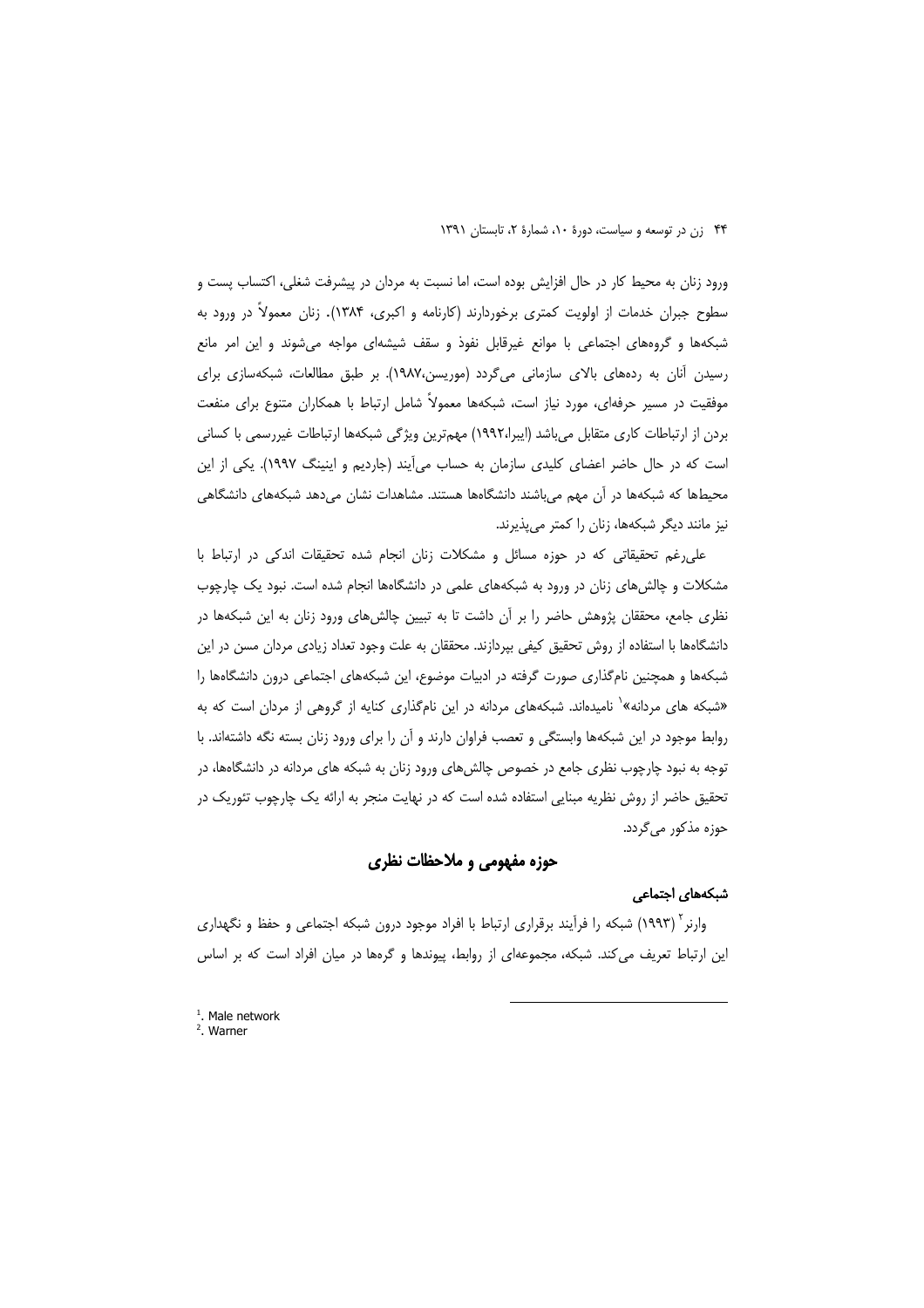ورود زنان به محیط کار در حال افزایش بوده است، اما نسبت به مردان در پیشرفت شغلی، اکتساب پست و سطوح جبران خدمات از اولویت کمتری برخوردارند (کارنامه و اکبری، ۱۳۸۴). زنان معمولاً در ورود به شبکهها و گروههای اجتماعی با موانع غیرقابل نفوذ و سقف شیشهای مواجه می،شوند و این امر مانع رسیدن آنان به ردههای بالای سازمانی میگردد (موریسن،۱۹۸۷). بر طبق مطالعات، شبکهسازی برای موفقیت در مسیر حرفهای، مورد نیاز است، شبکهها معمولاً شامل ارتباط با همکاران متنوع برای منفعت بردن از ارتباطات کاری متقابل می باشد (ایبرا،۱۹۹۲) مهمترین ویژگی شبکهها ارتباطات غیررسمی با کسانی است که در حال حاضر اعضای کلیدی سازمان به حساب میآیند (جاردیم و اینینگ ۱۹۹۷). یکی از این محیطها که شبکهها در آن مهم میباشند دانشگاهها هستند. مشاهدات نشان میدهد شبکههای دانشگاهی نیز مانند دیگر شبکهها، زنان را کمتر می پذیرند.

علی رغم تحقیقاتی که در حوزه مسائل و مشکلات زنان انجام شده تحقیقات اندکی در ارتباط با مشکلات و چالش های زنان در ورود به شبکههای علمی در دانشگاهها انجام شده است. نبود یک چارچوب نظری جامع، محققان پژوهش حاضر را بر آن داشت تا به تبیین چالشهای ورود زنان به این شبکهها در دانشگاهها با استفاده از روش تحقیق کیفی بپردازند. محققان به علت وجود تعداد زیادی مردان مسن در این شبکهها و همچنین نامگذاری صورت گرفته در ادبیات موضوع، این شبکههای اجتماعی درون دانشگاهها را «شبکه های مردانه»<sup>۱</sup> نامیدهاند. شبکههای مردانه در این نامگذاری کنایه از گروهی از مردان است که به روابط موجود در این شبکهها وابستگی و تعصب فراوان دارند و آن را برای ورود زنان بسته نگه داشتهاند. با توجه به نبود چارچوب نظری جامع در خصوص چالشهای ورود زنان به شبکه های مردانه در دانشگاهها، در تحقیق حاضر از روش نظریه مبنایی استفاده شده است که در نهایت منجر به ارائه یک چارچوب تئوریک در حوزہ مذکور می گردد.

# حوزه مفهومی و ملاحظات نظری

### شبکههای اجتماعی

وارنر<sup>۲</sup> (۱۹۹۳) شبکه را فرآیند برقراری ارتباط با افراد موجود درون شبکه اجتماعی و حفظ و نگهداری این ارتباط تعریف می کند. شبکه، مجموعهای از روابط، پیوندها و گرهها در میان افراد است که بر اساس

 $2.$  Warner

 $<sup>1</sup>$ . Male network</sup>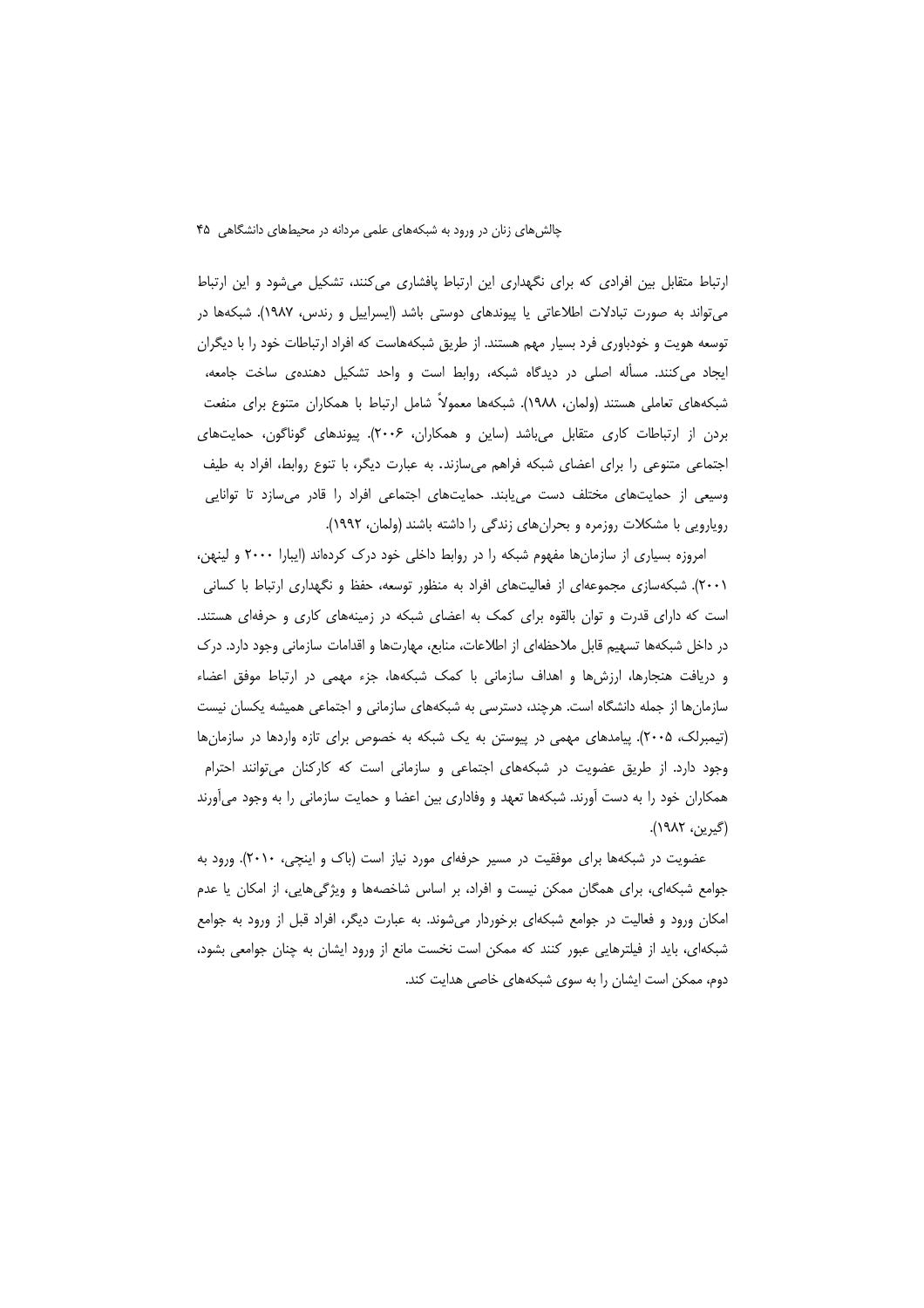ارتباط متقابل بین افرادی که برای نگهداری این ارتباط پافشاری می کنند، تشکیل میشود و این ارتباط میتواند به صورت تبادلات اطلاعاتی یا پیوندهای دوستی باشد (ایسراییل و رندس، ۱۹۸۷). شبکهها در توسعه هویت و خودباوری فرد بسیار مهم هستند. از طریق شبکههاست که افراد ارتباطات خود را با دیگران ایجاد میکنند. مسأله اصلی در دیدگاه شبکه، روابط است و واحد تشکیل دهندهی ساخت جامعه، شبکههای تعاملی هستند (ولمان، ۱۹۸۸). شبکهها معمولاً شامل ارتباط با همکاران متنوع برای منفعت بردن از ارتباطات کاری متقابل میباشد (ساین و همکاران، ۲۰۰۶). پیوندهای گوناگون، حمایتهای اجتماعی متنوعی را برای اعضای شبکه فراهم میسازند. به عبارت دیگر، با تنوع روابط، افراد به طیف وسیعی از حمایتهای مختلف دست می بابند. حمایتهای اجتماعی افراد را قادر می سازد تا توانایی رویارویی با مشکلات روزمره و بحرانهای زندگی را داشته باشند (ولمان، ۱۹۹۲).

امروزه بسیاری از سازمان ها مفهوم شبکه را در روابط داخلی خود درک کردهاند (ایبارا ۲۰۰۰ و لینهن، ۲۰۰۱). شبکهسازی مجموعهای از فعالیتهای افراد به منظور توسعه، حفظ و نگهداری ارتباط با کسانی است که دارای قدرت و توان بالقوه برای کمک به اعضای شبکه در زمینههای کاری و حرفهای هستند. در داخل شبکهها تسهیم قابل ملاحظهای از اطلاعات، منابع، مهارتها و اقدامات سازمانی وجود دارد. درک و دریافت هنجارها، ارزشها و اهداف سازمانی با کمک شبکهها، جزء مهمی در ارتباط موفق اعضاء سازمانها از جمله دانشگاه است. هرچند، دسترسی به شبکههای سازمانی و اجتماعی همیشه یکسان نیست (تیمبرلک، ۲۰۰۵). پیامدهای مهمی در پیوستن به یک شبکه به خصوص برای تازه واردها در سازمانها وجود دارد. از طریق عضویت در شبکههای اجتماعی و سازمانی است که کارکنان می توانند احترام همکاران خود را به دست آورند. شبکهها تعهد و وفاداری بین اعضا و حمایت سازمانی را به وجود میآورند (گيرين، ۱۹۸۲).

عضویت در شبکهها برای موفقیت در مسیر حرفهای مورد نیاز است (باک و اینچی، ۲۰۱۰). ورود به جوامع شبکهای، برای همگان ممکن نیست و افراد، بر اساس شاخصهها و ویژگیهایی، از امکان یا عدم امکان ورود و فعالیت در جوامع شبکهای برخوردار میشوند. به عبارت دیگر، افراد قبل از ورود به جوامع شبکهای، باید از فیلترهایی عبور کنند که ممکن است نخست مانع از ورود ایشان به چنان جوامعی بشود، دوم، ممکن است ایشان را به سوی شبکههای خاصی هدایت کند.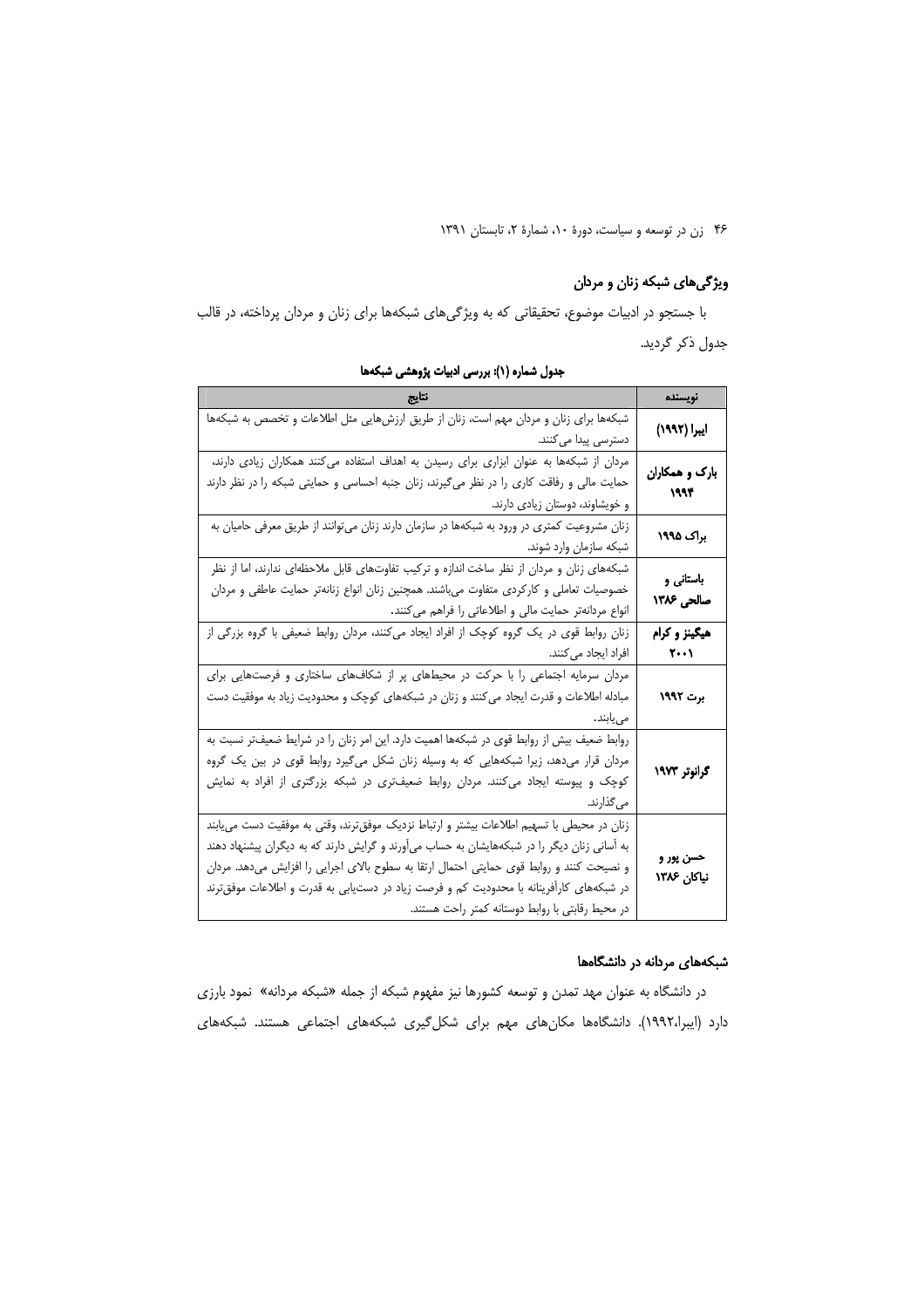# ویژگیهای شبکه زنان و مردان

با جستجو در ادبیات موضوع، تحقیقاتی که به ویژگیهای شبکهها برای زنان و مردان پرداخته، در قالب جدول ذكر گرديد.

| نتايج                                                                                       | نويسنده                      |  |
|---------------------------------------------------------------------------------------------|------------------------------|--|
| شبکهها برای زنان و مردان مهم است، زنان از طریق ارزشهایی مثل اطلاعات و تخصص به شبکهها        | ایبرا (۱۹۹۲)                 |  |
| دسترسی پیدا می کنند.                                                                        |                              |  |
| مردان از شبکهها به عنوان ابزاری برای رسیدن به اهداف استفاده میکنند همکاران زیادی دارند،     |                              |  |
| حمایت مالی و رفاقت کاری را در نظر میگیرند، زنان جنبه احساسی و حمایتی شبکه را در نظر دارند   | بارک و همکاران<br>1994       |  |
| و خویشاوند، دوستان زیادی دارند.                                                             |                              |  |
| زنان مشروعیت کمتری در ورود به شبکهها در سازمان دارند زنان میتوانند از طریق معرفی حامیان به  | براک ۱۹۹۵                    |  |
| شبکه سازمان وارد شوند.                                                                      |                              |  |
| شبکههای زنان و مردان از نظر ساخت اندازه و ترکیب تفاوتهای قابل ملاحظهای ندارند، اما از نظر   | باستانی و                    |  |
| خصوصیات تعاملی و کارکردی متفاوت میباشند. همچنین زنان انواع زنانهتر حمایت عاطفی و مردان      | صالحی ۱۳۸۶                   |  |
| انواع مردانهتر حمایت مالی و اطلاعاتی را فراهم میکنند.                                       |                              |  |
| زنان روابط قوی در یک گروه کوچک از افراد ایجاد میکنند، مردان روابط ضعیفی با گروه بزرگی از    | هیگینز و کرام                |  |
| ا فراد ایجاد میکنند.                                                                        | $\mathsf{Y}\cdots\mathsf{Y}$ |  |
| مردان سرمایه اجتماعی را با حرکت در محیطهای پر از شکافهای ساختاری و فرصتهایی برای            |                              |  |
| مبادله اطلاعات و قدرت ایجاد می کنند و زنان در شبکههای کوچک و محدودیت زیاد به موفقیت دست     | برت ۱۹۹۲                     |  |
| مىيابند.                                                                                    |                              |  |
| روابط ضعیف بیش از روابط قوی در شبکهها اهمیت دارد. این امر زنان را در شرایط ضعیفتر نسبت به   |                              |  |
| مردان قرار میدهد، زیرا شبکههایی که به وسیله زنان شکل میگیرد روابط قوی در بین یک گروه        | گرانوتر ۱۹۷۳                 |  |
| کوچک و پیوسته ایجاد میکنند. مردان روابط ضعیفتری در شبکه بزرگتری از افراد به نمایش           |                              |  |
| مي گذارند.                                                                                  |                              |  |
| زنان در محیطی با تسهیم اطلاعات بیشتر و ارتباط نزدیک موفقترند، وقتی به موفقیت دست می یابند   |                              |  |
| به آسانی زنان دیگر را در شبکههایشان به حساب میآورند و گرایش دارند که به دیگران پیشنهاد دهند |                              |  |
| و نصیحت کنند و روابط قوی حمایتی احتمال ارتقا به سطوح بالای اجرایی را افزایش میدهد. مردان    | حسن پور و<br>نیاکان ۱۳۸۶     |  |
| در شبکههای کارآفرینانه با محدودیت کم و فرصت زیاد در دستیابی به قدرت و اطلاعات موفقترند      |                              |  |
| در محیط رقابتی با روابط دوستانه کمتر راحت هستند.                                            |                              |  |

جدول شماره (١): بررسی ادبیات پژوهشی شبکهها

# شبکههای مردانه در دانشگاهها

در دانشگاه به عنوان مهد تمدن و توسعه کشورها نیز مفهوم شبکه از جمله «شبکه مردانه» نمود بارزی دارد (ایبرا،۱۹۹۲). دانشگاهها مکانهای مهم برای شکلگیری شبکههای اجتماعی هستند. شبکههای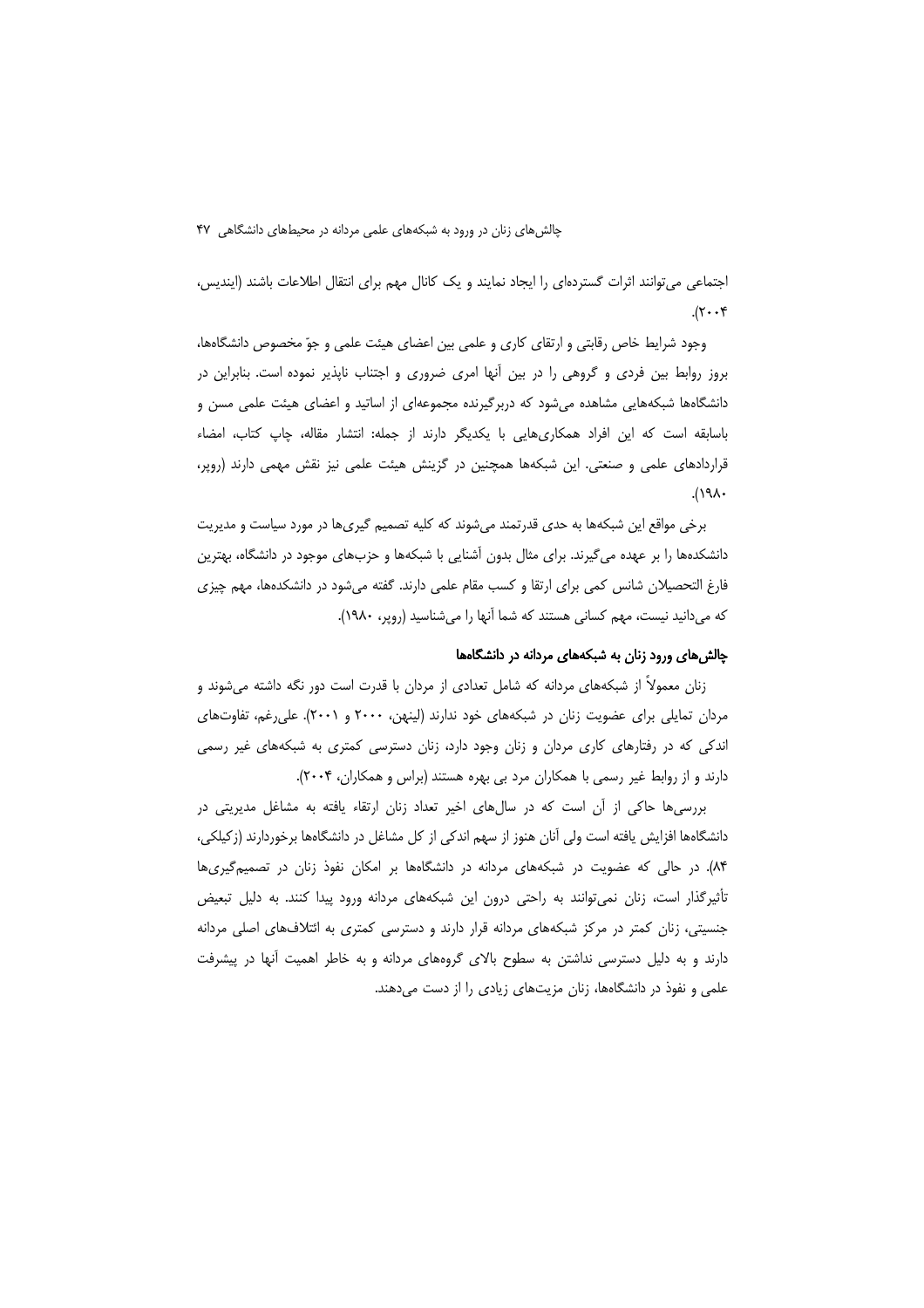اجتماعی می توانند اثرات گستردهای را ایجاد نمایند و یک کانال مهم برای انتقال اطلاعات باشند (ایندیس،  $\mathcal{X} \cdot \mathcal{Y}$ 

وجود شرایط خاص رقابتی و ارتقای کاری و علمی بین اعضای هیئت علمی و جوّ مخصوص دانشگاهها، بروز روابط بین فردی و گروهی را در بین آنها امری ضروری و اجتناب ناپذیر نموده است. بنابراین در دانشگاهها شبکههایی مشاهده می شود که دربرگیرنده مجموعهای از اساتید و اعضای هیئت علمی مسن و باسابقه است که این افراد همکاریِهایی با یکدیگر دارند از جمله: انتشار مقاله، چاپ کتاب، امضاء قراردادهای علمی و صنعتی. این شبکهها همچنین در گزینش هیئت علمی نیز نقش مهمی دارند (روپر،  $.(\lambda)^{\circ}$ 

برخی مواقع این شبکهها به حدی قدرتمند می شوند که کلیه تصمیم گیریها در مورد سیاست و مدیریت دانشکدهها را بر عهده میگیرند. برای مثال بدون آشنایی با شبکهها و حزبهای موجود در دانشگاه، بهترین فارغ التحصیلان شانس کمی برای ارتقا و کسب مقام علمی دارند. گفته میشود در دانشکدهها، مهم چیزی که میدانید نیست، مهم کسانی هستند که شما آنها را میشناسید (روپر، ۱۹۸۰).

# چالش های ورود زنان به شبکههای مردانه در دانشگاهها

زنان معمولاً از شبکههای مردانه که شامل تعدادی از مردان با قدرت است دور نگه داشته میشوند و مردان تمایلی برای عضویت زنان در شبکههای خود ندارند (لینهن، ۲۰۰۰ و ۲۰۰۱). علی رغم، تفاوتهای اندکی که در رفتارهای کاری مردان و زنان وجود دارد، زنان دسترسی کمتری به شبکههای غیر رسمی دارند و از روابط غیر رسمی با همکاران مرد بی بهره هستند (براس و همکاران، ۲۰۰۴).

بررسی ها حاکی از آن است که در سال های اخیر تعداد زنان ارتقاء یافته به مشاغل مدیریتی در دانشگاهها افزایش یافته است ولی آنان هنوز از سهم اندکی از کل مشاغل در دانشگاهها برخوردارند (زکیلکی، ۸۴). در حالی که عضویت در شبکههای مردانه در دانشگاهها بر امکان نفوذ زنان در تصمیمگیریها تأثیرگذار است، زنان نمی توانند به راحتی درون این شبکههای مردانه ورود پیدا کنند. به دلیل تبعیض جنسیتی، زنان کمتر در مرکز شبکههای مردانه قرار دارند و دسترسی کمتری به ائتلافهای اصلی مردانه دارند و به دلیل دسترسی نداشتن به سطوح بالای گروههای مردانه و به خاطر اهمیت آنها در پیشرفت علمی و نفوذ در دانشگاهها، زنان مزیتهای زیادی را از دست میدهند.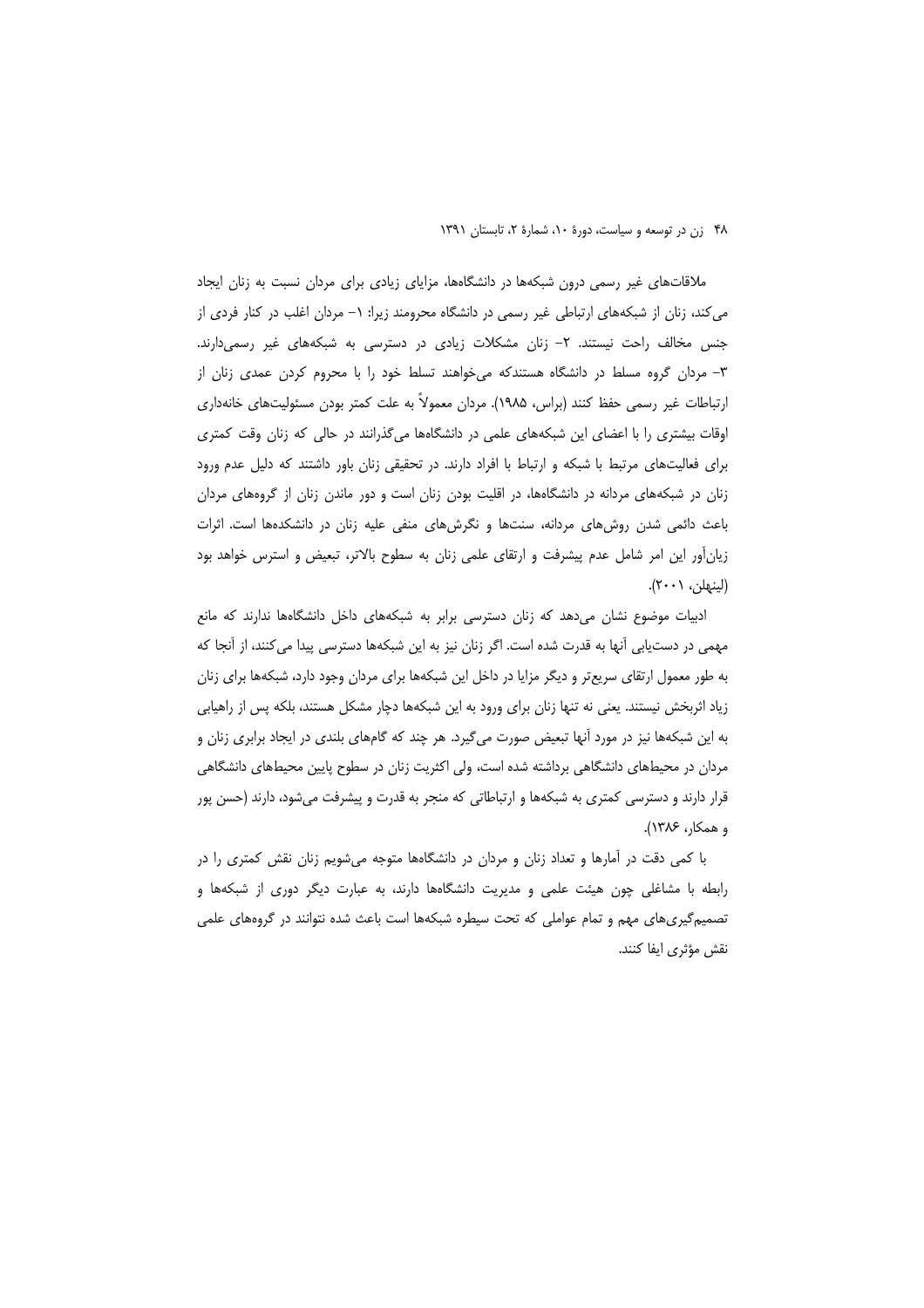ملاقاتهای غیر رسمی درون شبکهها در دانشگاهها، مزایای زیادی برای مردان نسبت به زنان ایجاد می کند، زنان از شبکههای ارتباطی غیر رسمی در دانشگاه محرومند زیرا: ۱– مردان اغلب در کنار فردی از جنس مخالف راحت نیستند. ٢- زنان مشكلات زیادی در دسترسی به شبكههای غیر رسمیدارند. ۳- مردان گروه مسلط در دانشگاه هستندکه میخواهند تسلط خود را با محروم کردن عمدی زنان از ارتباطات غیر رسمی حفظ کنند (براس، ۱۹۸۵). مردان معمولاً به علت کمتر بودن مسئولیتهای خانهداری اوقات بیشتری را با اعضای این شبکههای علمی در دانشگاهها میگذرانند در حالی که زنان وقت کمتری برای فعالیتهای مرتبط با شبکه و ارتباط با افراد دارند. در تحقیقی زنان باور داشتند که دلیل عدم ورود زنان در شبکههای مردانه در دانشگاهها، در اقلیت بودن زنان است و دور ماندن زنان از گروههای مردان باعث دائمی شدن روشهای مردانه، سنتها و نگرشهای منفی علیه زنان در دانشکدهها است. اثرات زیانآور این امر شامل عدم پیشرفت و ارتقای علمی زنان به سطوح بالاتر، تبعیض و استرس خواهد بود (لينهلن، ٢٠٠١).

ادبیات موضوع نشان می دهد که زنان دسترسی برابر به شبکههای داخل دانشگاهها ندارند که مانع مهمی در دستیابی آنها به قدرت شده است. اگر زنان نیز به این شبکهها دسترسی پیدا می کنند، از آنجا که به طور معمول ارتقای سریعتر و دیگر مزایا در داخل این شبکهها برای مردان وجود دارد، شبکهها برای زنان زیاد اثربخش نیستند. یعنی نه تنها زنان برای ورود به این شبکهها دچار مشکل هستند، بلکه پس از راهیابی به این شبکهها نیز در مورد آنها تبعیض صورت میگیرد. هر چند که گامهای بلندی در ایجاد برابری زنان و مردان در محیطهای دانشگاهی برداشته شده است، ولی اکثریت زنان در سطوح پایین محیطهای دانشگاهی قرار دارند و دسترسی کمتری به شبکهها و ارتباطاتی که منجر به قدرت و پیشرفت میشود، دارند (حسن پور و همكار، ۱۳۸۶).

با کمی دقت در آمارها و تعداد زنان و مردان در دانشگاهها متوجه میشویم زنان نقش کمتری را در رابطه با مشاغلی چون هیئت علمی و مدیریت دانشگاهها دارند، به عبارت دیگر دوری از شبکهها و تصمیمگیریهای مهم و تمام عواملی که تحت سیطره شبکهها است باعث شده نتوانند در گروههای علمی نقش مؤثري ايفا كنند.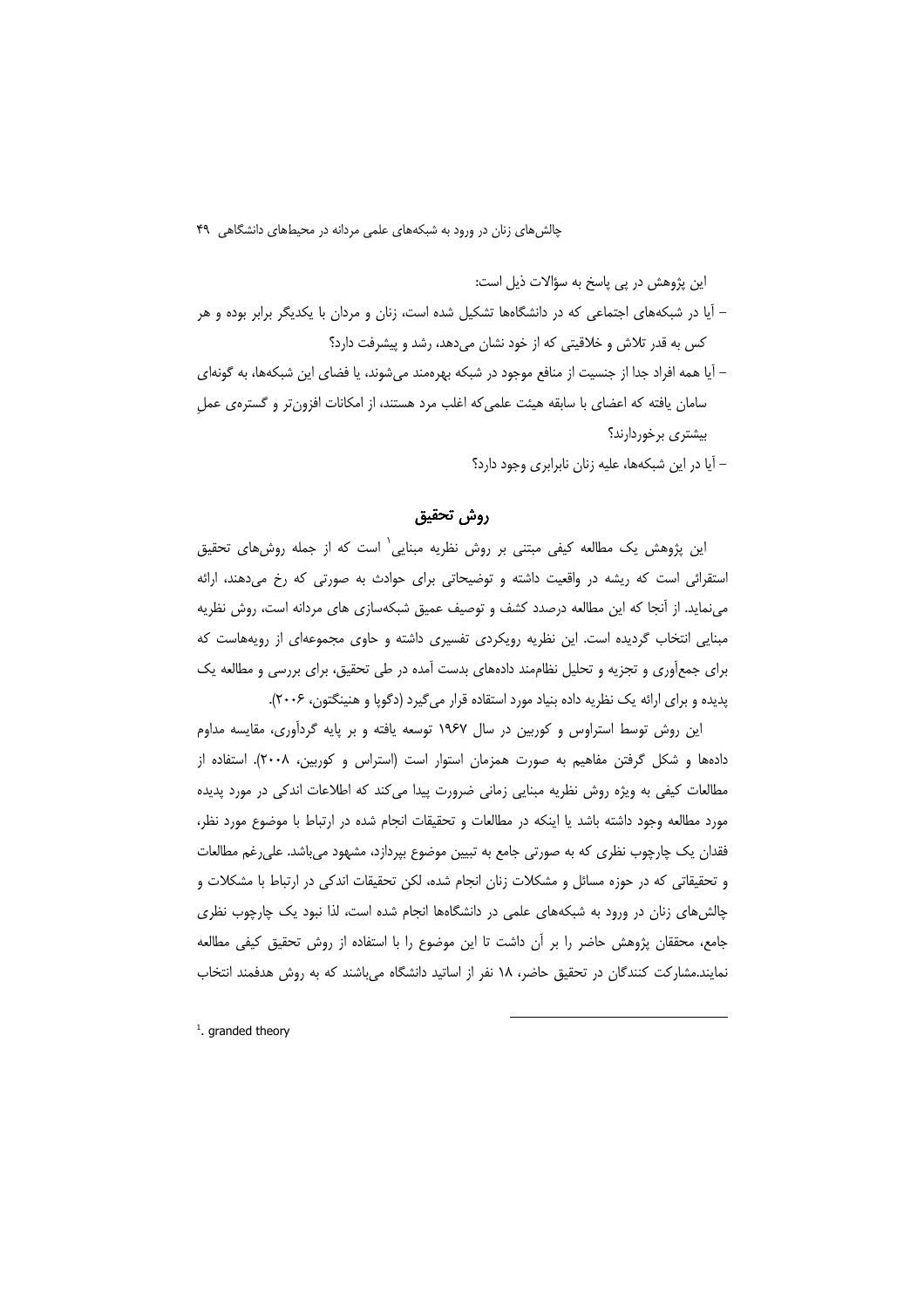این پژوهش در یی پاسخ به سؤالات ذیل است:

- آیا در شبکههای اجتماعی که در دانشگاهها تشکیل شده است، زنان و مردان با یکدیگر برابر بوده و هر کس به قدر تلاش و خلاقیتی که از خود نشان میدهد، رشد و پیشرفت دارد؟
- آیا همه افراد جدا از جنسیت از منافع موجود در شبکه بهرهمند می شوند، یا فضای این شبکهها، به گونهای سامان یافته که اعضای با سابقه هیئت علمی که اغلب مرد هستند، از امکانات افزون تر و گسترهی عمل بیشتری برخوردارند؟

– آیا در این شبکهها، علیه زنان نابرابری وجود دارد؟

# روش تحقيق

این پژوهش یک مطالعه کیفی مبتنی بر روش نظریه مبنایی<sup>\</sup> است که از جمله روشهای تحقیق استقرائی است که ریشه در واقعیت داشته و توضیحاتی برای حوادث به صورتی که رخ می دهند، ارائه می نماید. از آنجا که این مطالعه درصدد کشف و توصیف عمیق شبکهسازی های مردانه است، روش نظریه مبنایی انتخاب گردیده است. این نظریه رویکردی تفسیری داشته و حاوی مجموعهای از رویههاست که برای جمعآوری و تجزیه و تحلیل نظاممند دادههای بدست آمده در طی تحقیق، برای بررسی و مطالعه یک پدیده و برای ارائه یک نظریه داده بنیاد مورد استقاده قرار میگیرد (دگوپا و هنینگتون، ۲۰۰۶).

این روش توسط استراوس و کوربین در سال ۱۹۶۷ توسعه یافته و بر پایه گردآوری، مقایسه مداوم دادهها و شکل گرفتن مفاهیم به صورت همزمان استوار است (استراس و کوربین، ۲۰۰۸). استفاده از مطالعات کیفی به ویژه روش نظریه مبنایی زمانی ضرورت پیدا می کند که اطلاعات اندکی در مورد پدیده مورد مطالعه وجود داشته باشد یا اینکه در مطالعات و تحقیقات انجام شده در ارتباط با موضوع مورد نظر، فقدان یک چارچوب نظری که به صورتی جامع به تبیین موضوع بپردازد، مشهود میباشد. علی رغم مطالعات و تحقیقاتی که در حوزه مسائل و مشکلات زنان انجام شده، لکن تحقیقات اندکی در ارتباط با مشکلات و چالشهای زنان در ورود به شبکههای علمی در دانشگاهها انجام شده است، لذا نبود یک چارچوب نظری جامع، محققان پژوهش حاضر را بر آن داشت تا این موضوع را با استفاده از روش تحقیق کیفی مطالعه نمایند.مشارکت کنندگان در تحقیق حاضر، ۱۸ نفر از اساتید دانشگاه میباشند که به روش هدفمند انتخاب

 $<sup>1</sup>$ , aranded theory</sup>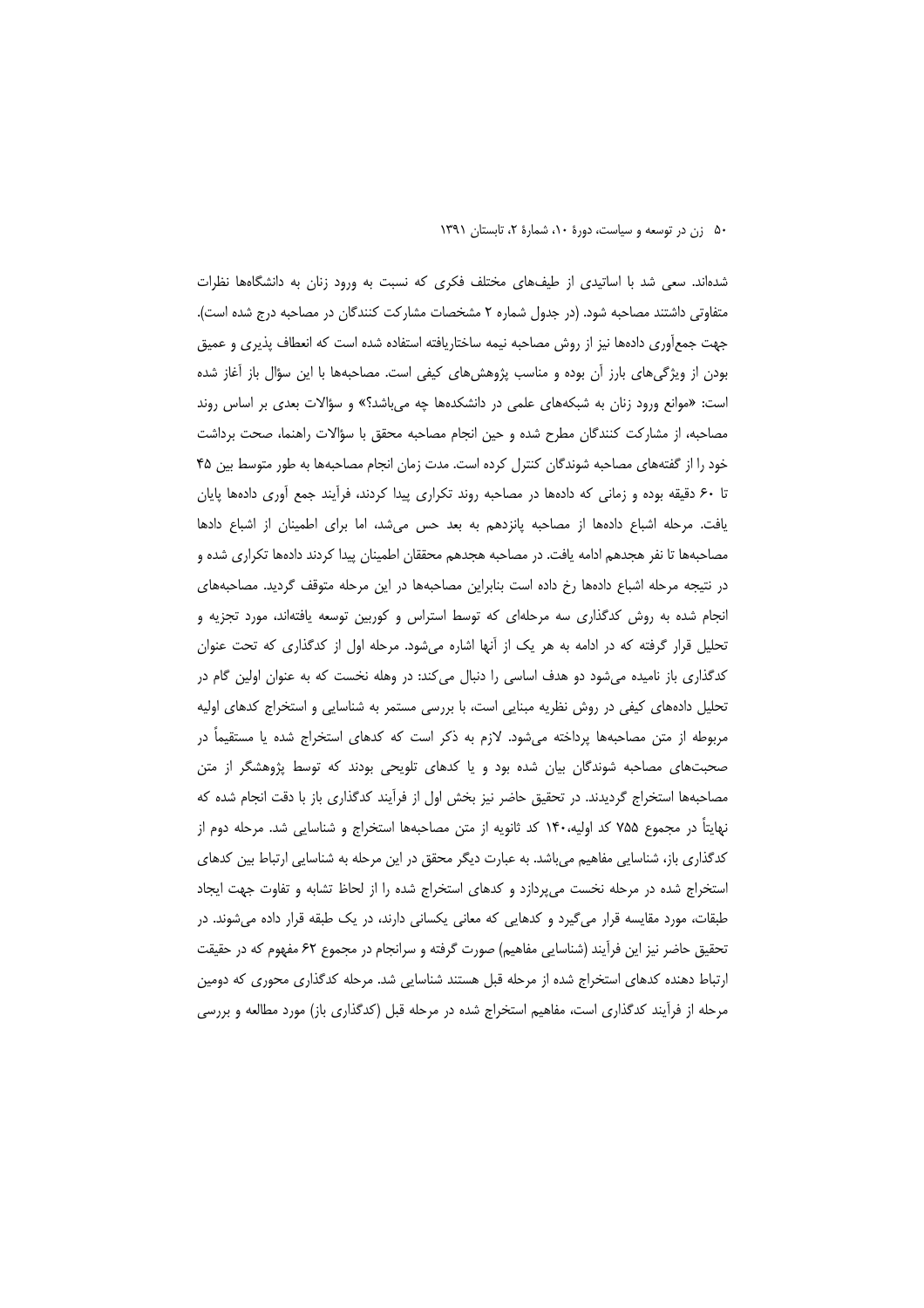شدهاند. سعی شد با اساتیدی از طیفهای مختلف فکری که نسبت به ورود زنان به دانشگاهها نظرات متفاوتی داشتند مصاحبه شود. (در جدول شماره ۲ مشخصات مشارکت کنندگان در مصاحبه درج شده است). جهت جمع[وری دادهها نیز از روش مصاحبه نیمه ساختاریافته استفاده شده است که انعطاف پذیری و عمیق بودن از ویژگیهای بارز آن بوده و مناسب پژوهشهای کیفی است. مصاحبهها با این سؤال باز آغاز شده است: «موانع ورود زنان به شبکههای علمی در دانشکدهها چه می باشد؟» و سؤالات بعدی بر اساس روند مصاحبه، از مشاركت كنندگان مطرح شده و حين انجام مصاحبه محقق با سؤالات راهنما، صحت برداشت خود را از گفتههای مصاحبه شوندگان کنترل کرده است. مدت زمان انجام مصاحبهها به طور متوسط بین ۴۵ تا ۶۰ دقیقه بوده و زمانی که دادهها در مصاحبه روند تکراری پیدا کردند، فرأیند جمع أوری دادهها پایان يافت. مرحله اشباع دادهها از مصاحبه پانزدهم به بعد حس مى شد، اما براى اطمينان از اشباع دادها مصاحبهها تا نفر هجدهم ادامه یافت. در مصاحبه هجدهم محققان اطمینان پیدا کردند دادهها تکراری شده و در نتیجه مرحله اشباع دادهها رخ داده است بنابراین مصاحبهها در این مرحله متوقف گردید. مصاحبههای انجام شده به روش کدگذاری سه مرحلهای که توسط استراس و کوربین توسعه یافتهاند، مورد تجزیه و تحلیل قرار گرفته که در ادامه به هر یک از آنها اشاره میشود. مرحله اول از کدگذاری که تحت عنوان کدگذاری باز نامیده میشود دو هدف اساسی را دنبال میکند: در وهله نخست که به عنوان اولین گام در تحلیل دادههای کیفی در روش نظریه مبنایی است، با بررسی مستمر به شناسایی و استخراج کدهای اولیه مربوطه از متن مصاحبهها پرداخته میشود. لازم به ذکر است که کدهای استخراج شده یا مستقیماً در صحبتهای مصاحبه شوندگان بیان شده بود و یا کدهای تلویحی بودند که توسط پژوهشگر از متن مصاحبهها استخراج گردیدند. در تحقیق حاضر نیز بخش اول از فرآیند کدگذاری باز با دقت انجام شده که نهایتاً در مجموع ۷۵۵ کد اولیه،۱۴۰ کد ثانویه از متن مصاحبهها استخراج و شناسایی شد. مرحله دوم از کدگذاری باز، شناسایی مفاهیم میباشد. به عبارت دیگر محقق در این مرحله به شناسایی ارتباط بین کدهای استخراج شده در مرحله نخست میپردازد و کدهای استخراج شده را از لحاظ تشابه و تفاوت جهت ایجاد طبقات، مورد مقایسه قرار می5یرد و کدهایی که معانی یکسانی دارند، در یک طبقه قرار داده میشوند. در تحقیق حاضر نیز این فرآیند (شناسایی مفاهیم) صورت گرفته و سرانجام در مجموع ۶۲ مفهوم که در حقیقت ارتباط دهنده کدهای استخراج شده از مرحله قبل هستند شناسایی شد. مرحله کدگذاری محوری که دومین مرحله از فرآیند کدگذاری است، مفاهیم استخراج شده در مرحله قبل (کدگذاری باز) مورد مطالعه و بررسی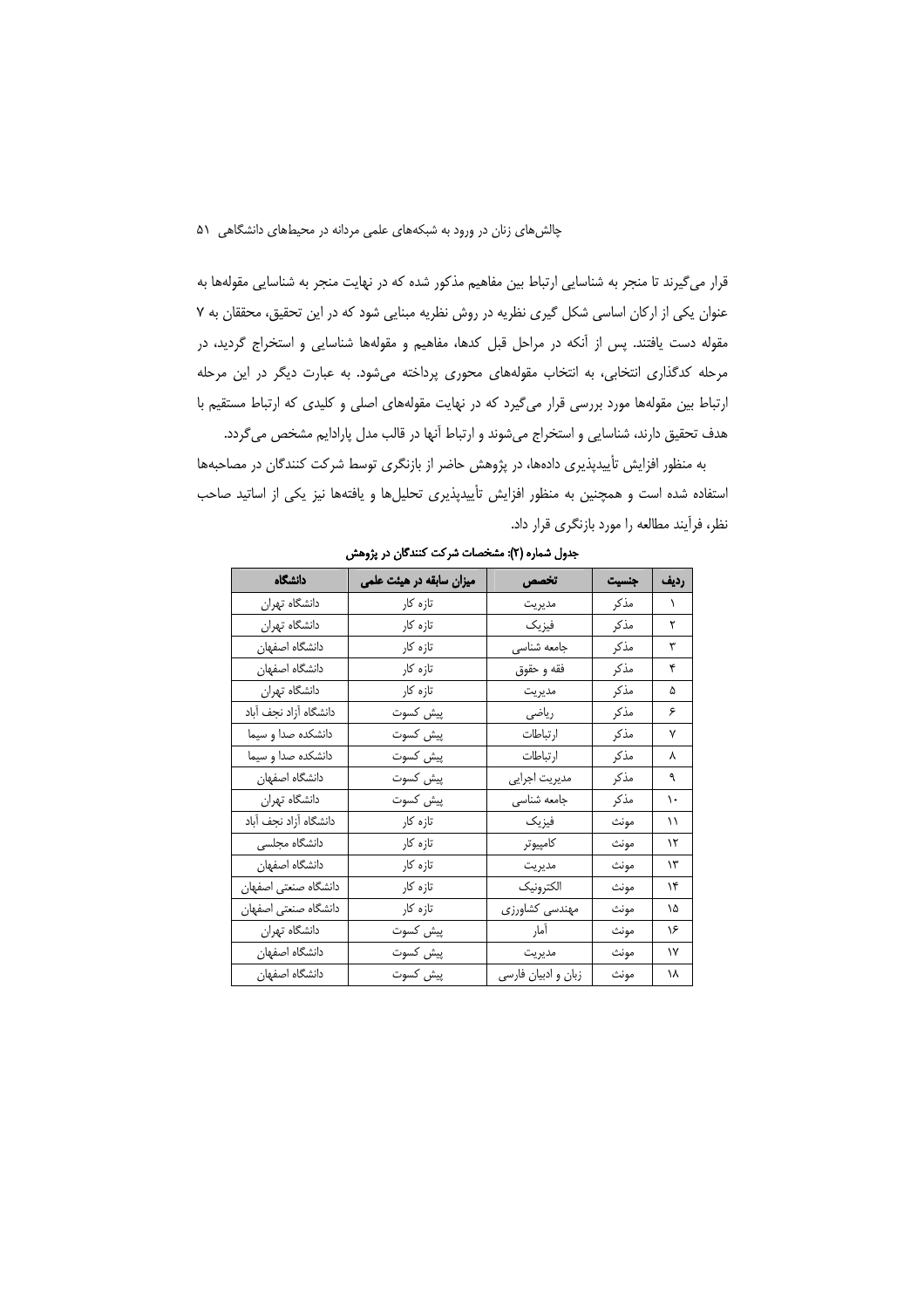قرار می گیرند تا منجر به شناسایی ارتباط بین مفاهیم مذکور شده که در نهایت منجر به شناسایی مقولهها به عنوان یکی از ارکان اساسی شکل گیری نظریه در روش نظریه مبنایی شود که در این تحقیق، محققان به ۷ مقوله دست یافتند. پس از آنکه در مراحل قبل کدها، مفاهیم و مقولهها شناسایی و استخراج گردید، در مرحله کدگذاری انتخابی، به انتخاب مقولههای محوری پرداخته میشود. به عبارت دیگر در این مرحله ارتباط بین مقولهها مورد بررسی قرار میگیرد که در نهایت مقولههای اصلی و کلیدی که ارتباط مستقیم با هدف تحقیق دارند، شناسایی و استخراج میشوند و ارتباط آنها در قالب مدل پارادایم مشخص میگردد.

به منظور افزایش تأییدپذیری دادهها، در پژوهش حاضر از بازنگری توسط شرکت کنندگان در مصاحبهها استفاده شده است و همچنین به منظور افزایش تأییدپذیری تحلیلها و یافتهها نیز یکی از اساتید صاحب نظر، فرأيند مطالعه را مورد بازنگري قرار داد.

| دانشگاه               | میزان سابقه در هیئت علمی | تخصص               | جنسيت | رديف      |
|-----------------------|--------------------------|--------------------|-------|-----------|
| دانشگاه تهران         | تازہ کار                 | مديريت             | مذكر  | $\lambda$ |
| دانشگاه تهران         | تازه کار                 | فيزيك              | مذكر  | ٢         |
| دانشگاه اصفهان        | تازہ کار                 | جامعه شناسي        | مذكر  | ٣         |
| دانشگاه اصفهان        | تازه کار                 | فقه و حقوق         | مذكر  | ۴         |
| دانشگاه تهران         | تازه کار                 | مديريت             | مذكر  | ۵         |
| دانشگاه آزاد نجف آباد | پیش کسوت                 | رياضى              | مذكر  | ۶         |
| دانشكده صدا و سيما    | پیش کسوت                 | ارتباطات           | مذكر  | ٧         |
| دانشكده صدا و سيما    | پیش کسوت                 | ارتباطات           | مذكر  | ٨         |
| دانشگاه اصفهان        | پیش کسوت                 | مديريت اجرايي      | مذكر  | ٩         |
| دانشگاه تهران         | پیش کسوت                 | جامعه شناسي        | مذكر  | ١.        |
| دانشگاه آزاد نجف آباد | تازہ کار                 | فيزيك              | مونث  | ۱۱        |
| دانشگاه مجلسی         | تازه کار                 | كامپيوتر           | مونث  | ۱۲        |
| دانشگاه اصفهان        | تازه کار                 | مديريت             | مونث  | ۱۳        |
| دانشگاه صنعتی اصفهان  | تازه کار                 | الكترونيك          | مونث  | ۱۴        |
| دانشگاه صنعتی اصفهان  | تازه کار                 | مهندسي كشاورزي     | مونث  | ۱۵        |
| دانشگاه تهران         | پیش کسوت                 | أمار               | مونث  | ۱۶        |
| دانشگاه اصفهان        | پیش کسوت                 | مديريت             | مونث  | ۱۷        |
| دانشگاه اصفهان        | پیش کسوت                 | زبان وادبيان فارسى | مونث  | ۱۸        |

جدول شماره (٢): مشخصات شركت كنندگان در پژوهش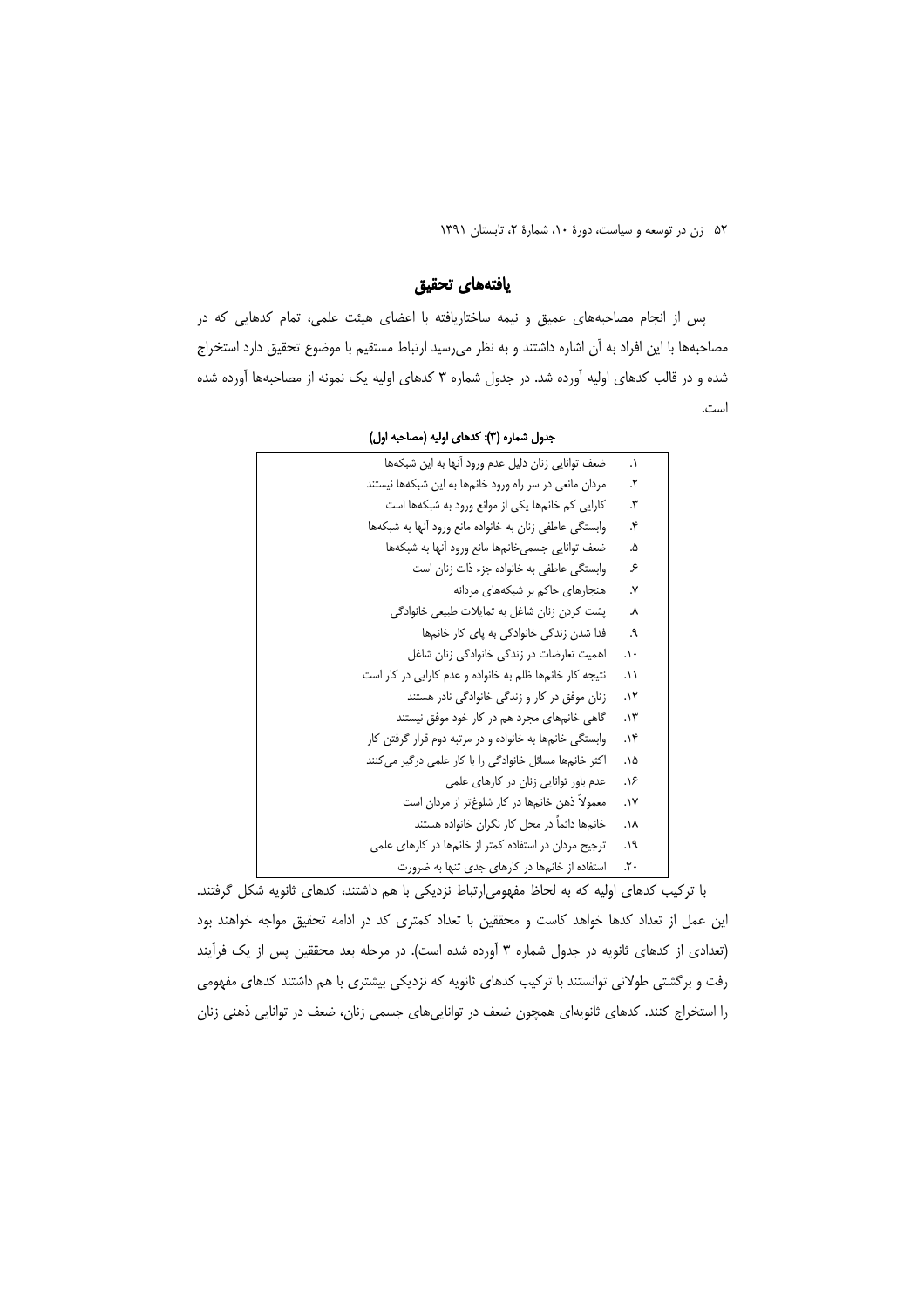# يافتههاى تحقيق

پس از انجام مصاحبههای عمیق و نیمه ساختاریافته با اعضای هیئت علمی، تمام کدهایی که در مصاحبهها با این افراد به آن اشاره داشتند و به نظر می رسید ارتباط مستقیم با موضوع تحقیق دارد استخراج شده و در قالب کدهای اولیه آورده شد. در جدول شماره ۳ کدهای اولیه یک نمونه از مصاحبهها آورده شده است.

| ضعف توانايي زنان دليل عدم ورود أنها به اين شبكهها       | $\cdot$ |
|---------------------------------------------------------|---------|
| مردان مانعی در سر راه ورود خانمها به این شبکهها نیستند  | ۲.      |
| کارایی کم خانمها یکی از موانع ورود به شبکهها است        | ۳.      |
| وابستگی عاطفی زنان به خانواده مانع ورود آنها به شبکهها  | ۴.      |
| ضعف توانايي جسمي خانمها مانع ورود آنها به شبكهها        | ۵.      |
| وابستگی عاطفی به خانواده جزء ذات زنان است               | ۶       |
| هنجارهای حاکم بر شبکههای مردانه                         | ٧.      |
| پشت کردن زنان شاغل به تمایلات طبیعی خانوادگی            | Υ       |
| فدا شدن زندگی خانوادگی به پای کار خانمها                | ۹.      |
| اهمیت تعارضات در زندگی خانوادگی زنان شاغل               | ۰۱.     |
| نتیجه کار خانمها ظلم به خانواده و عدم کارایی در کار است | ۱۱.     |
| زنان موفق در کار و زندگی خانوادگی نادر هستند            | ۰۱۲     |
| گاهی خانمهای مجرد هم در کار خود موفق نیستند             | ۱۳.     |
| وابستگی خانمها به خانواده و در مرتبه دوم قرار گرفتن کار | ۱۴.     |
| اکثر خانمها مسائل خانوادگی را با کار علمی درگیر می کنند | ۰۱۵.    |
| عدم باور توانایی زنان در کارهای علمی                    | ۱۶.     |
| معمولاً ذهن خانمها در کار شلوغتر از مردان است           | ۰۱۷.    |
| خانمها دائماً در محل کار نگران خانواده هستند            | ۸۸.     |
| ترجیح مردان در استفاده کمتر از خانمها در کارهای علمی    | ۱۹.     |
| استفاده از خانمها در کارهای جدی تنها به ضرورت           | ۲۰.     |

### جدول شماره (۳): کدهای اولیه (مصاحبه اول)

با ترکیب کدهای اولیه که به لحاظ مفهومی|رتباط نزدیکی با هم داشتند، کدهای ثانویه شکل گرفتند. این عمل از تعداد کدها خواهد کاست و محققین با تعداد کمتری کد در ادامه تحقیق مواجه خواهند بود (تعدادی از کدهای ثانویه در جدول شماره ۳ آورده شده است). در مرحله بعد محققین پس از یک فرآیند رفت و برگشتی طولانی توانستند با ترکیب کدهای ثانویه که نزدیکی بیشتری با هم داشتند کدهای مفهومی را استخراج کنند. کدهای ثانویهای همچون ضعف در تواناییهای جسمی زنان، ضعف در توانایی ذهنی زنان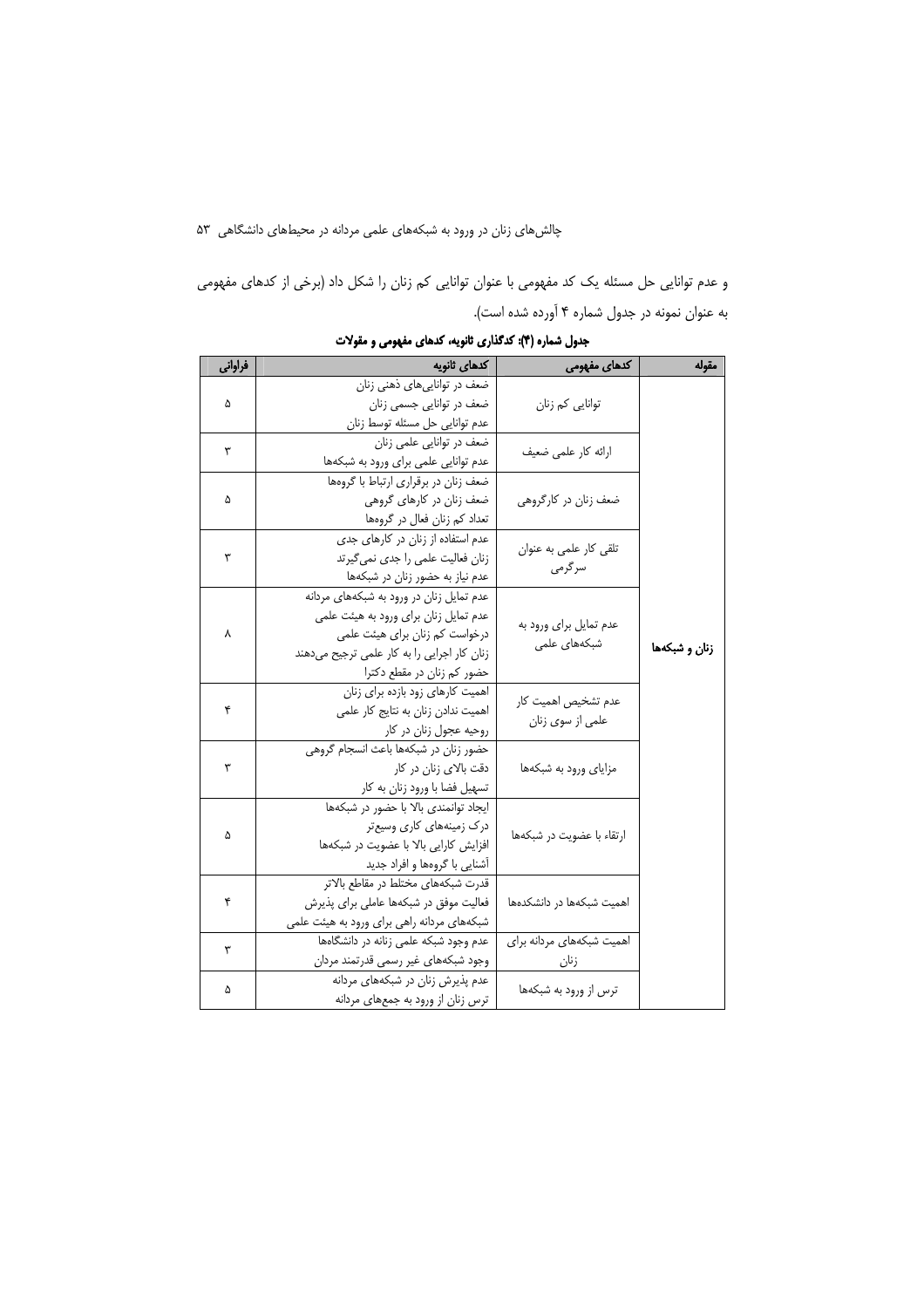و عدم توانایی حل مسئله یک کد مفهومی با عنوان توانایی کم زنان را شکل داد (برخی از کدهای مفهومی به عنوان نمونه در جدول شماره ۴ آورده شده است).

| فراواني | كدهاى ثانويه                                | کدهای مفهومی              | مقوله                 |
|---------|---------------------------------------------|---------------------------|-----------------------|
|         | ضعف در توانایی های ذهنی زنان                |                           |                       |
| ۵       | ضعف در توانایی جسمی زنان                    | توانایی کم زنان           |                       |
|         | عدم توانايي حل مسئله توسط زنان              |                           |                       |
| ٣       | ضعف در توانایی علمی زنان                    | ارائه كار علمى ضعيف       |                       |
|         | عدم توانایی علمی برای ورود به شبکهها        |                           |                       |
|         | ضعف زنان در برقراری ارتباط با گروهها        |                           |                       |
| ۵       | ضعف زنان در کارهای گروهی                    | ضعف زنان در کارگروهی      |                       |
|         | تعداد کم زنان فعال در گروهها                |                           |                       |
|         | عدم استفاده از زنان در کارهای جدی           | تلقى كار علمى به عنوان    |                       |
| ٣       | زنان فعالیت علمی را جدی نمی گیرتد           | سر گرمی                   |                       |
|         | عدم نیاز به حضور زنان در شبکهها             |                           |                       |
|         | عدم تمایل زنان در ورود به شبکههای مردانه    |                           |                       |
|         | عدم تمایل زنان برای ورود به هیئت علمی       | عدم تمایل برای ورود به    |                       |
| ٨       | درخواست کم زنان برای هیئت علمی              | شبکههای علمی              |                       |
|         | زنان کار اجرایی را به کار علمی ترجیح میدهند |                           | زنان و شبکهها         |
|         | حضور کم زنان در مقطع دکترا                  |                           |                       |
|         | اهمیت کارهای زود بازده برای زنان            | عدم تشخيص اهميت كار       |                       |
| ۴       | اهمیت ندادن زنان به نتایج کار علمی          | علمی از سوی زنان          |                       |
|         | روحیه عجول زنان در کار                      |                           |                       |
| ٣       | حضور زنان در شبكهها باعث انسجام گروهی       |                           |                       |
|         |                                             | دقت بالای زنان در کار     | مزایای ورود به شبکهها |
|         | تسهیل فضا با ورود زنان به کار               |                           |                       |
|         | ایجاد توانمندی بالا با حضور در شبکهها       |                           |                       |
| ۵       | درک زمینههای کاری وسیعتر                    | ارتقاء با عضويت در شبكهها |                       |
|         | افزایش کارایی بالا با عضویت در شبکهها       |                           |                       |
|         | آشنایی با گروهها و افراد جدید               |                           |                       |
| ۴       | قدرت شبكههاى مختلط در مقاطع بالاتر          |                           |                       |
|         | فعالیت موفق در شبکهها عاملی برای پذیرش      | اهمیت شبکهها در دانشکدهها |                       |
|         | شبکههای مردانه راهی برای ورود به هیئت علمی  |                           |                       |
| ٣       | عدم وجود شبكه علمى زنانه در دانشگاهها       | اهمیت شبکههای مردانه برای |                       |
|         | وجود شبكههاى غير رسمى قدرتمند مردان         | زنان                      |                       |
| ۵       | عدم پذیرش زنان در شبکههای مردانه            | ترس از ورود به شبکهها     |                       |
|         | ترس زنان از ورود به جمعهای مردانه           |                           |                       |

جدول شماره (۴): کدگذاری ثانویه، کدهای مفهومی و مقولات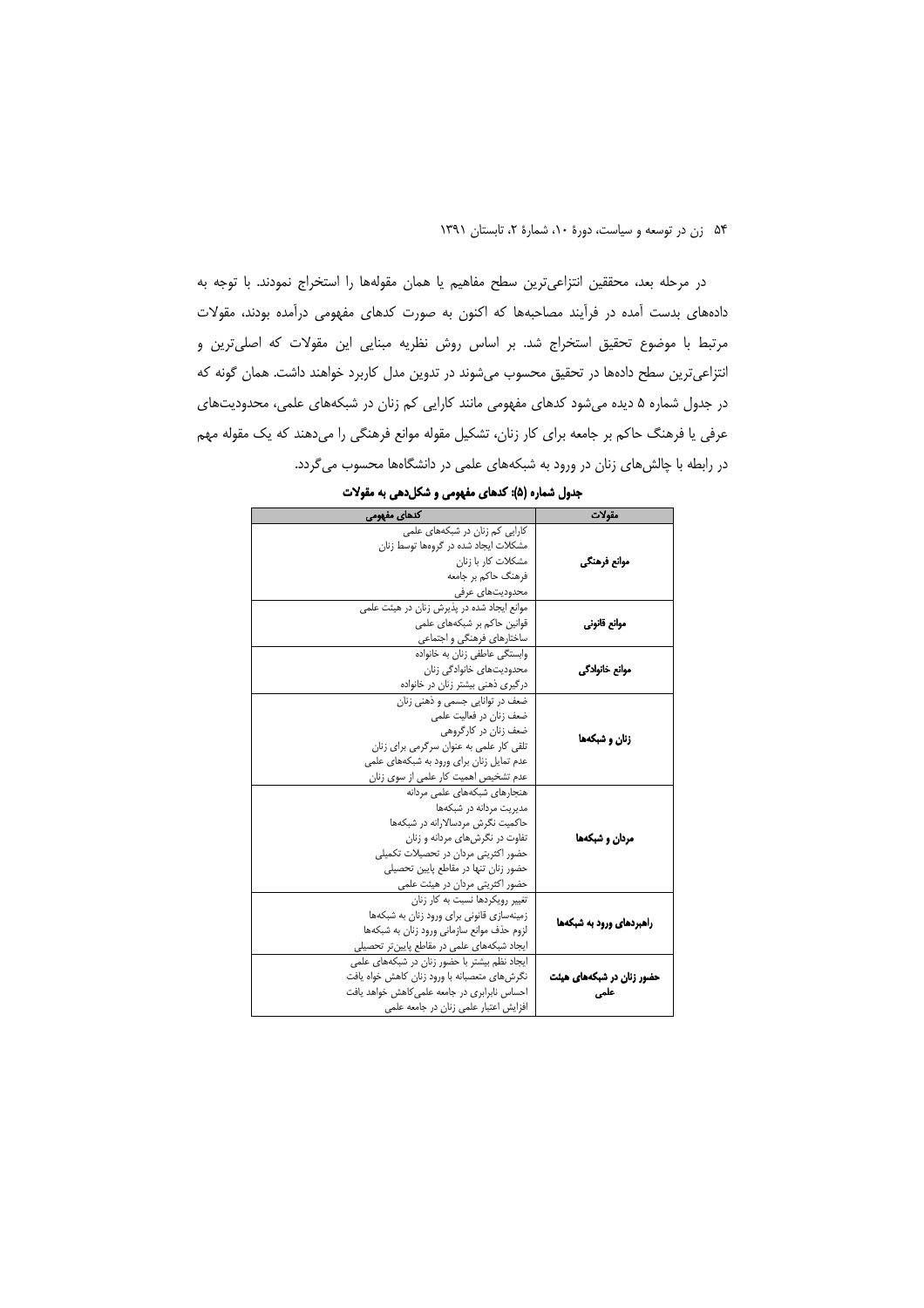در مرحله بعد، محققین انتزاعیترین سطح مفاهیم یا همان مقولهها را استخراج نمودند. با توجه به دادههای بدست آمده در فرآیند مصاحبهها که اکنون به صورت کدهای مفهومی درآمده بودند، مقولات مرتبط با موضوع تحقیق استخراج شد. بر اساس روش نظریه مبنایی این مقولات که اصلی ترین و انتزاعیترین سطح دادهها در تحقیق محسوب میشوند در تدوین مدل کاربرد خواهند داشت. همان گونه که در جدول شماره ۵ دیده میشود کدهای مفهومی مانند کارایی کم زنان در شبکههای علمی، محدودیتهای عرفی یا فرهنگ حاکم بر جامعه برای کار زنان، تشکیل مقوله موانع فرهنگی را میدهند که یک مقوله مهم در رابطه با چالش های زنان در ورود به شبکههای علمی در دانشگاهها محسوب می گردد.

| کدهای مفهومی                                  | مقولات                    |  |
|-----------------------------------------------|---------------------------|--|
| کارایی کم زنان در شبکههای علمی                |                           |  |
| مشکلات ایجاد شده در گروهها توسط زنان          |                           |  |
| مشكلات كار با زنان                            | موانع فرهنگي              |  |
| فرهنگ حاکم بر جامعه                           |                           |  |
| محدودیتهای عرفی                               |                           |  |
| موانع ایجاد شده در پذیرش زنان در هیئت علمی    |                           |  |
| قوانین حاکم بر شبکههای علمی                   | موانع قانوني              |  |
| ساختارهای فرهنگی و اجتماعی                    |                           |  |
| وابستگی عاطفی زنان به خانواده                 |                           |  |
| محدودیتهای خانوادگی زنان                      | موانع خانوادگی            |  |
| درگیری ذهنی بیشتر زنان در خانواده             |                           |  |
| ضعف در توانایی جسمی و ذهنی زنان               |                           |  |
| ضعف زنان در فعالیت علمی                       |                           |  |
| ضعف زنان در کارگروهی                          | زنان و شبکهها             |  |
| تلقی کار علمی به عنوان سرگرمی برای زنان       |                           |  |
| عدم تمایل زنان برای ورود به شبکههای علمی      |                           |  |
| عدم تشخیص اهمیت کار علمی از سوی زنان          |                           |  |
| هنجارهای شبکههای علمی مردانه                  |                           |  |
| مدیریت مردانه در شبکهها                       |                           |  |
| حاکمیت نگرش مردسالارانه در شبکهها             |                           |  |
| تفاوت در نگرش های مردانه و زنان               | مردان و شبکهها            |  |
| حضور اکثریتی مردان در تحصیلات تکمیلی          |                           |  |
| حضور زنان تنها در مقاطع پایین تحصیلی          |                           |  |
| حضور اکثریتی مردان در هیئت علمی               |                           |  |
| تغییر رویکردها نسبت به کار زنان               |                           |  |
| زمینهسازی قانونی برای ورود زنان به شبکهها     | راهبردهای ورود به شبکهها  |  |
| لزوم حذف موانع سازمانی ورود زنان به شبکهها    |                           |  |
| ایجاد شبکههای علمی در مقاطع پایینتر تحصیلی    |                           |  |
| ایجاد نظم بیشتر با حضور زنان در شبکههای علمی  |                           |  |
| نگرش های متعصبانه با ورود زنان کاهش خواه یافت | حضور زنان در شبکههای هیئت |  |
| احساس نابرابری در جامعه علمی کاهش خواهد یافت  | علمی                      |  |
| افزایش اعتبار علمی زنان در جامعه علمی         |                           |  |

جدول شماره (۵): کدهای مفهومی و شکل دهی به مقولات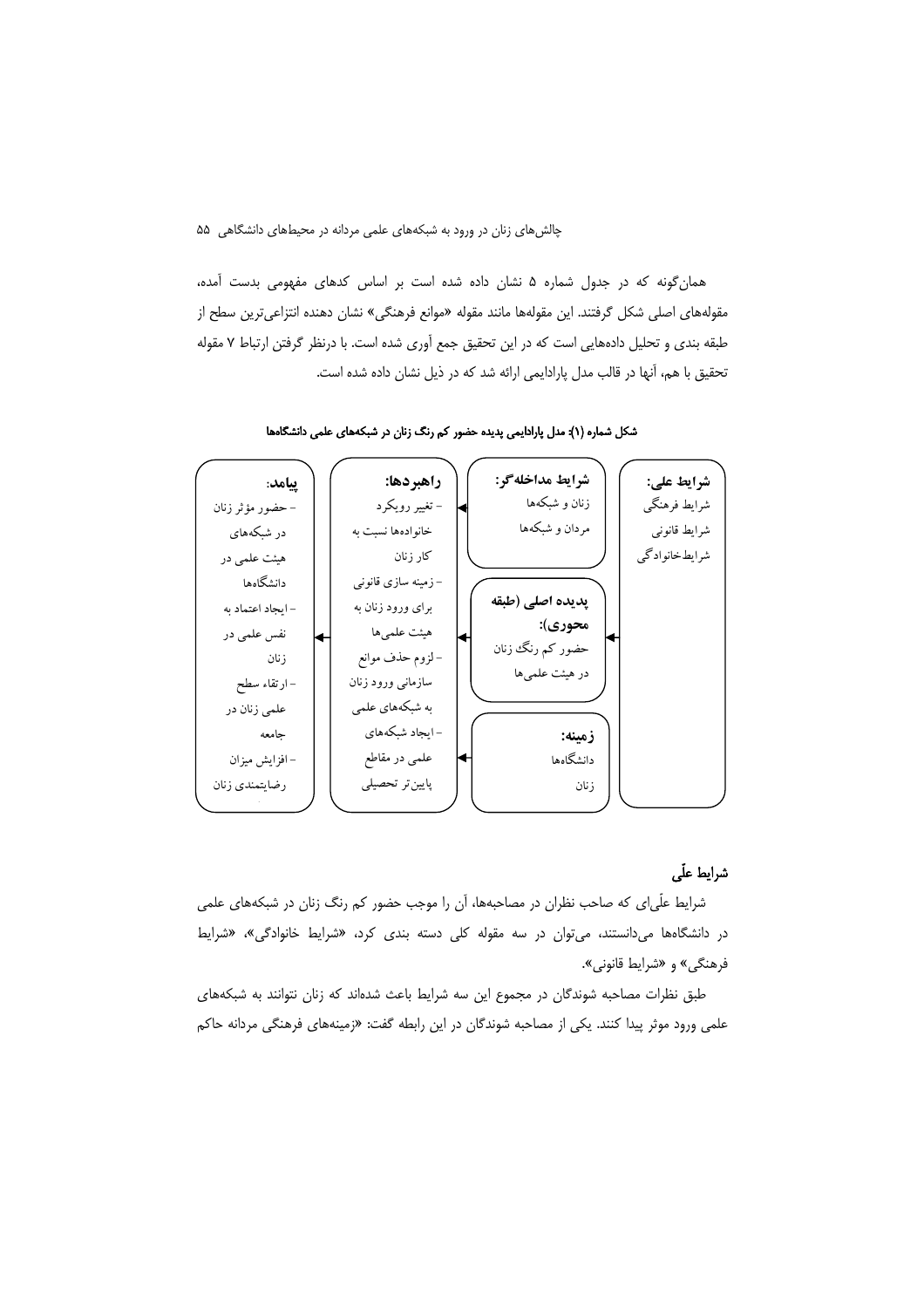همان گونه که در جدول شماره ۵ نشان داده شده است بر اساس کدهای مفهومی بدست آمده، مقولههای اصلی شکل گرفتند. این مقولهها مانند مقوله «موانع فرهنگی» نشان دهنده انتزاعیترین سطح از طبقه بندی و تحلیل دادههایی است که در این تحقیق جمع آوری شده است. با درنظر گرفتن ارتباط ۷ مقوله تحقیق با هم، آنها در قالب مدل یارادایمی ارائه شد که در ذیل نشان داده شده است.



شکل شماره (۱): مدل پارادایمی پدیده حضور کم رنگ زنان در شبکههای علمی دانشگاهها

### شرايط علّى

شرایط علّیای که صاحب نظران در مصاحبهها، آن را موجب حضور کم رنگ زنان در شبکههای علمی در دانشگاهها می دانستند، می توان در سه مقوله کلی دسته بندی کرد، «شرایط خانوادگی»، «شرایط فرهنگي» و «شرايط قانوني».

طبق نظرات مصاحبه شوندگان در مجموع این سه شرایط باعث شدهاند که زنان نتوانند به شبکههای علمي ورود موثر پيدا كنند. يكي از مصاحبه شوندگان در اين رابطه گفت: «زمينههاي فرهنگي مردانه حاك<u>م</u>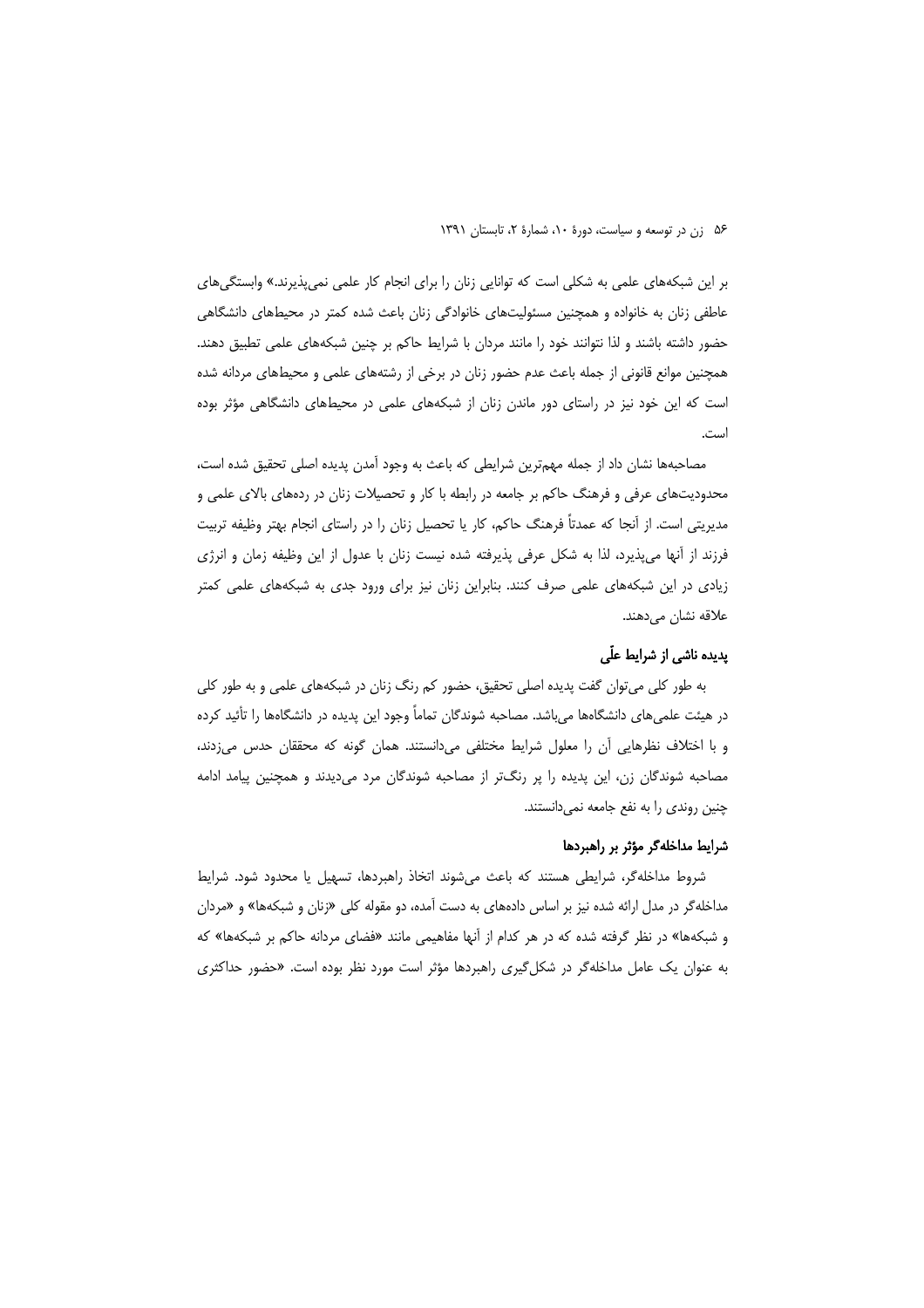بر این شبکههای علمی به شکلی است که توانایی زنان را برای انجام کار علمی نمی پذیرند.» وابستگیهای عاطفی زنان به خانواده و همچنین مسئولیتهای خانوادگی زنان باعث شده کمتر در محیطهای دانشگاهی حضور داشته باشند و لذا نتوانند خود را مانند مردان با شرایط حاکم بر چنین شبکههای علمی تطبیق دهند. همچنین موانع قانونی از جمله باعث عدم حضور زنان در برخی از رشتههای علمی و محیطهای مردانه شده است که این خود نیز در راستای دور ماندن زنان از شبکههای علمی در محیطهای دانشگاهی مؤثر بوده است.

مصاحبهها نشان داد از جمله مهمترین شرایطی که باعث به وجود آمدن پدیده اصلی تحقیق شده است، محدودیتهای عرفی و فرهنگ حاکم بر جامعه در رابطه با کار و تحصیلات زنان در ردههای بالای علمی و مدیریتی است. از آنجا که عمدتاً فرهنگ حاکم، کار یا تحصیل زنان را در راستای انجام بهتر وظیفه تربیت فرزند از آنها می پذیرد، لذا به شکل عرفی پذیرفته شده نیست زنان با عدول از این وظیفه زمان و انرژی زیادی در این شبکههای علمی صرف کنند. بنابراین زنان نیز برای ورود جدی به شبکههای علمی کمتر علاقه نشان مىدهند.

## یدیده ناشی از شرایط علّی

به طور کلی می توان گفت پدیده اصلی تحقیق، حضور کم رنگ زنان در شبکههای علمی و به طور کلی در هیئت علمیهای دانشگاهها میباشد. مصاحبه شوندگان تماماً وجود این پدیده در دانشگاهها را تأئید کرده و با اختلاف نظرهایی آن را معلول شرایط مختلفی می دانستند. همان گونه که محققان حدس می زدند، مصاحبه شوندگان زن، این پدیده را پر رنگتر از مصاحبه شوندگان مرد میدیدند و همچنین پیامد ادامه چنین روندی را به نفع جامعه نمیدانستند.

### شرایط مداخله گر مؤثر بر راهبردها

شروط مداخله گر، شرایطی هستند که باعث میشوند اتخاذ راهبردها، تسهیل یا محدود شود. شرایط مداخلهگر در مدل ارائه شده نیز بر اساس دادههای به دست آمده، دو مقوله کلی «زنان و شبکهها» و «مردان و شبکهها» در نظر گرفته شده که در هر کدام از آنها مفاهیمی مانند «فضای مردانه حاکم بر شبکهها» که به عنوان یک عامل مداخلهگر در شکل گیری راهبردها مؤثر است مورد نظر بوده است. «حضور حداکثری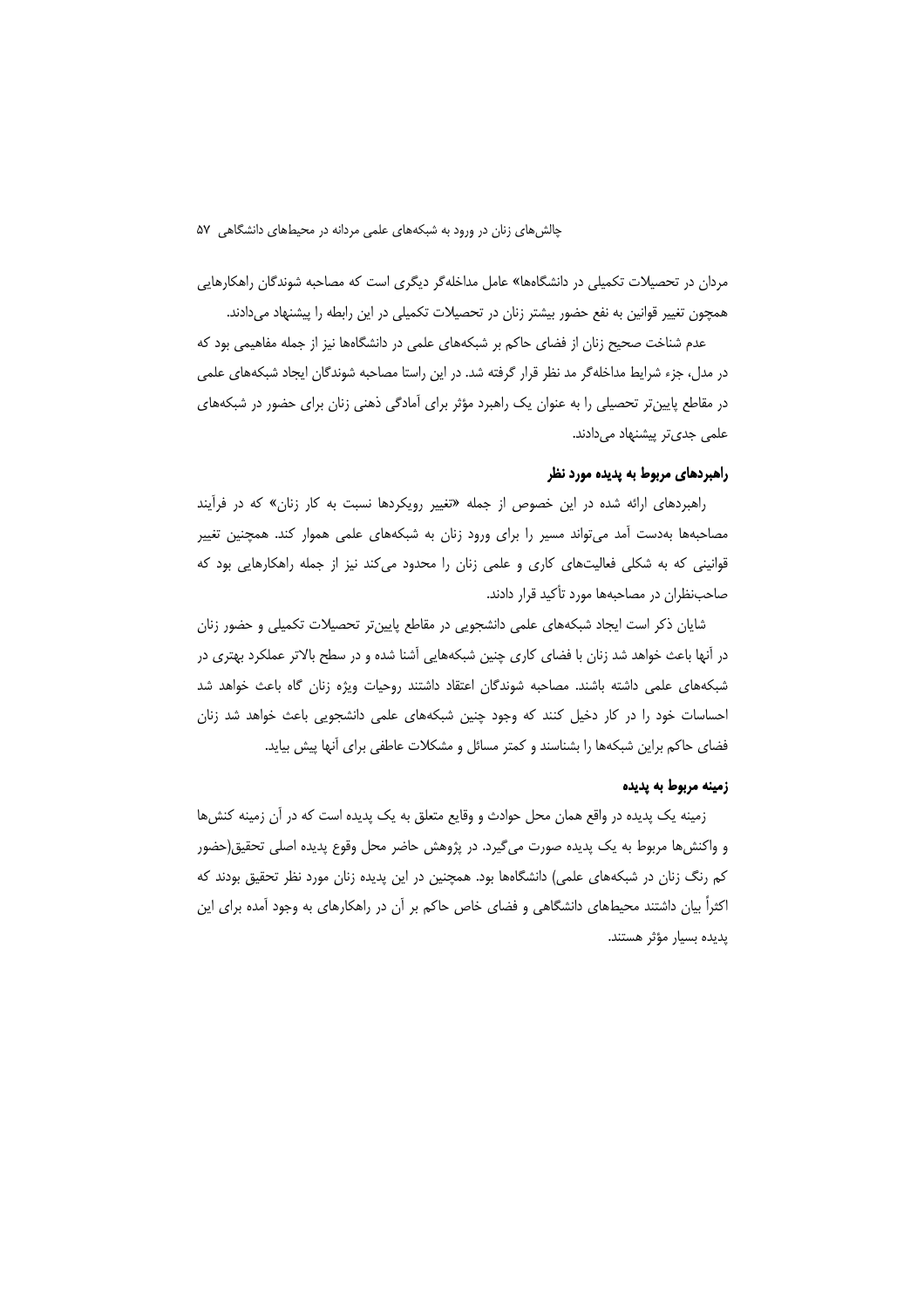مردان در تحصیلات تکمیلی در دانشگاهها» عامل مداخلهگر دیگری است که مصاحبه شوندگان راهکارهایی همچون تغییر قوانین به نفع حضور بیشتر زنان در تحصیلات تکمیلی در این رابطه را پیشنهاد میدادند.

عدم شناخت صحیح زنان از فضای حاکم بر شبکههای علمی در دانشگاهها نیز از جمله مفاهیمی بود که در مدل، جزء شرایط مداخله گر مد نظر قرار گرفته شد. در این راستا مصاحبه شوندگان ایجاد شبکههای علمی در مقاطع پایین تر تحصیلی را به عنوان یک راهبرد مؤثر برای آمادگی ذهنی زنان برای حضور در شبکههای علمی جدیتر پیشنهاد میدادند.

## راهبردهای مربوط به پدیده مورد نظر

راهبردهای ارائه شده در این خصوص از جمله «تغییر رویکردها نسبت به کار زنان» که در فرآیند مصاحبهها بهدست آمد می تواند مسیر را برای ورود زنان به شبکههای علمی هموار کند. همچنین تغییر قوانینی که به شکلی فعالیتهای کاری و علمی زنان را محدود میکند نیز از جمله راهکارهایی بود که صاحب:نظران در مصاحبهها مورد تأكيد قرار دادند.

شایان ذکر است ایجاد شبکههای علمی دانشجویی در مقاطع پایینتر تحصیلات تکمیلی و حضور زنان در آنها باعث خواهد شد زنان با فضای کاری چنین شبکههایی آشنا شده و در سطح بالاتر عملکرد بهتری در شبکههای علمی داشته باشند. مصاحبه شوندگان اعتقاد داشتند روحیات ویژه زنان گاه باعث خواهد شد احساسات خود را در کار دخیل کنند که وجود چنین شبکههای علمی دانشجویی باعث خواهد شد زنان فضای حاکم براین شبکهها را بشناسند و کمتر مسائل و مشکلات عاطفی برای آنها پیش بیاید.

### زمینه مربوط به پدیده

زمینه یک پدیده در واقع همان محل حوادث و وقایع متعلق به یک پدیده است که در آن زمینه کنشها و واکنشها مربوط به یک پدیده صورت میگیرد. در پژوهش حاضر محل وقوع پدیده اصلی تحقیق(حضور کم رنگ زنان در شبکههای علمی) دانشگاهها بود. همچنین در این پدیده زنان مورد نظر تحقیق بودند که اکثراً بیان داشتند محیطهای دانشگاهی و فضای خاص حاکم بر آن در راهکارهای به وجود آمده برای این پدیده بسیار مؤثر هستند.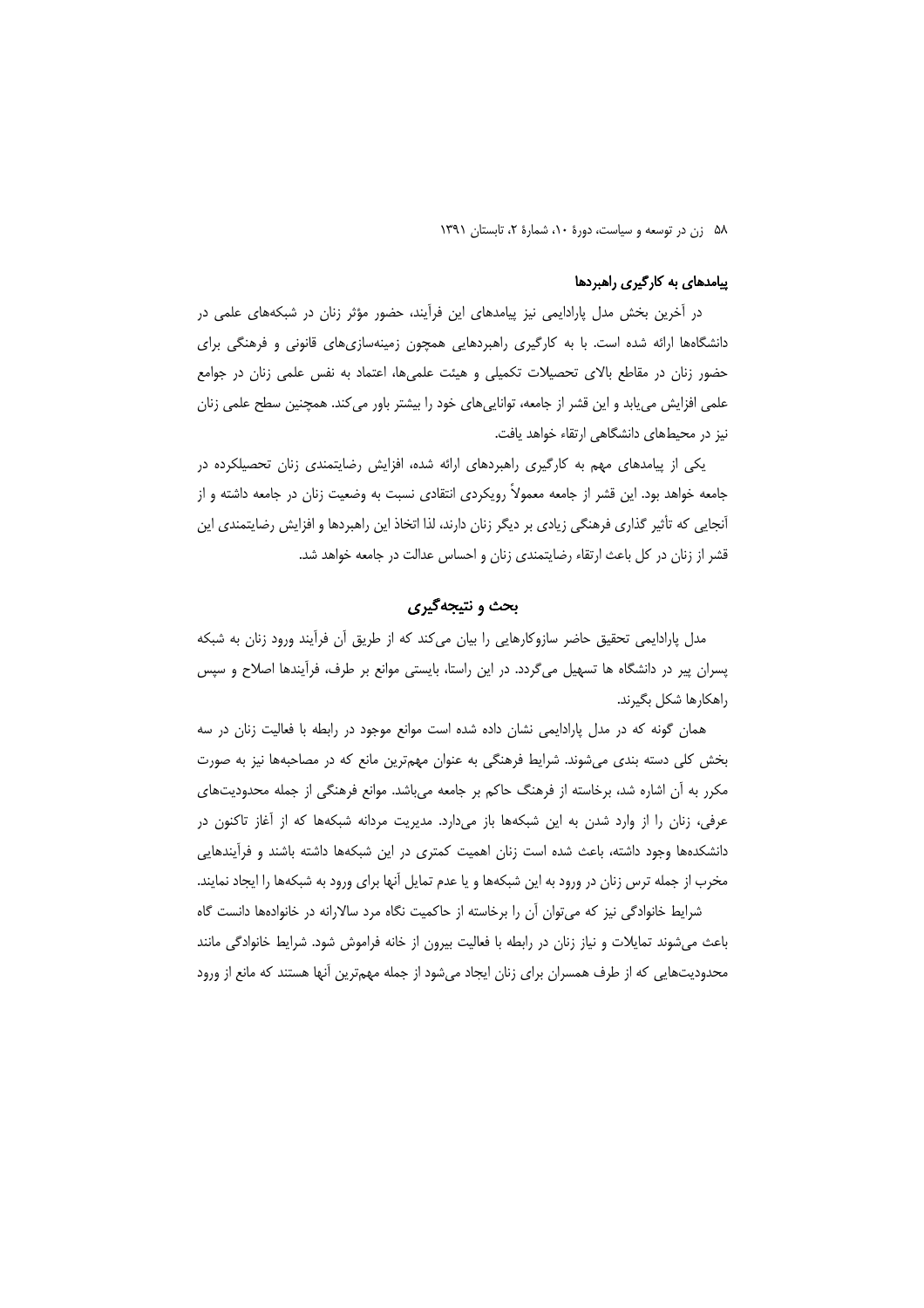## پیامدهای به کارگیری راهبردها

در آخرین بخش مدل پارادایمی نیز پیامدهای این فرآیند، حضور مؤثر زنان در شبکههای علمی در دانشگاهها ارائه شده است. با به کارگیری راهبردهایی همچون زمینهسازیهای قانونی و فرهنگی برای حضور زنان در مقاطع بالای تحصیلات تکمیلی و هیئت علمیها، اعتماد به نفس علمی زنان در جوامع علمی افزایش می یابد و این قشر از جامعه، توانایی های خود را بیشتر باور می کند. همچنین سطح علمی زنان نیز در محیطهای دانشگاهی ارتقاء خواهد یافت.

یکی از پیامدهای مهم به کارگیری راهبردهای ارائه شده، افزایش رضایتمندی زنان تحصیلکرده در جامعه خواهد بود. این قشر از جامعه معمولاً رویکردی انتقادی نسبت به وضعیت زنان در جامعه داشته و از آنجایی که تأثیر گذاری فرهنگی زیادی بر دیگر زنان دارند، لذا اتخاذ این راهبردها و افزایش رضایتمندی این قشر از زنان در کل باعث ارتقاء رضایتمندی زنان و احساس عدالت در جامعه خواهد شد.

## بحث و نتیجهگیری

مدل پارادایمی تحقیق حاضر سازوکارهایی را بیان میکند که از طریق آن فرآیند ورود زنان به شبکه پسران پیر در دانشگاه ها تسهیل میگردد. در این راستا، بایستی موانع بر طرف، فرآیندها اصلاح و سپس راهكارها شكل بگيرند.

همان گونه که در مدل پارادایمی نشان داده شده است موانع موجود در رابطه با فعالیت زنان در سه بخش کلی دسته بندی می شوند. شرایط فرهنگی به عنوان مهمترین مانع که در مصاحبهها نیز به صورت مکرر به آن اشاره شد، برخاسته از فرهنگ حاکم بر جامعه میباشد. موانع فرهنگی از جمله محدودیتهای عرفی، زنان را از وارد شدن به این شبکهها باز میدارد. مدیریت مردانه شبکهها که از آغاز تاکنون در دانشکدهها وجود داشته، باعث شده است زنان اهمیت کمتری در این شبکهها داشته باشند و فرآیندهایی مخرب از جمله ترس زنان در ورود به این شبکهها و یا عدم تمایل آنها برای ورود به شبکهها را ایجاد نمایند. شرایط خانوادگی نیز که می¤وان آن را برخاسته از حاکمیت نگاه مرد سالارانه در خانوادهها دانست گاه

باعث میشوند تمایلات و نیاز زنان در رابطه با فعالیت بیرون از خانه فراموش شود. شرایط خانوادگی مانند محدودیتهایی که از طرف همسران برای زنان ایجاد میشود از جمله مهمترین آنها هستند که مانع از ورود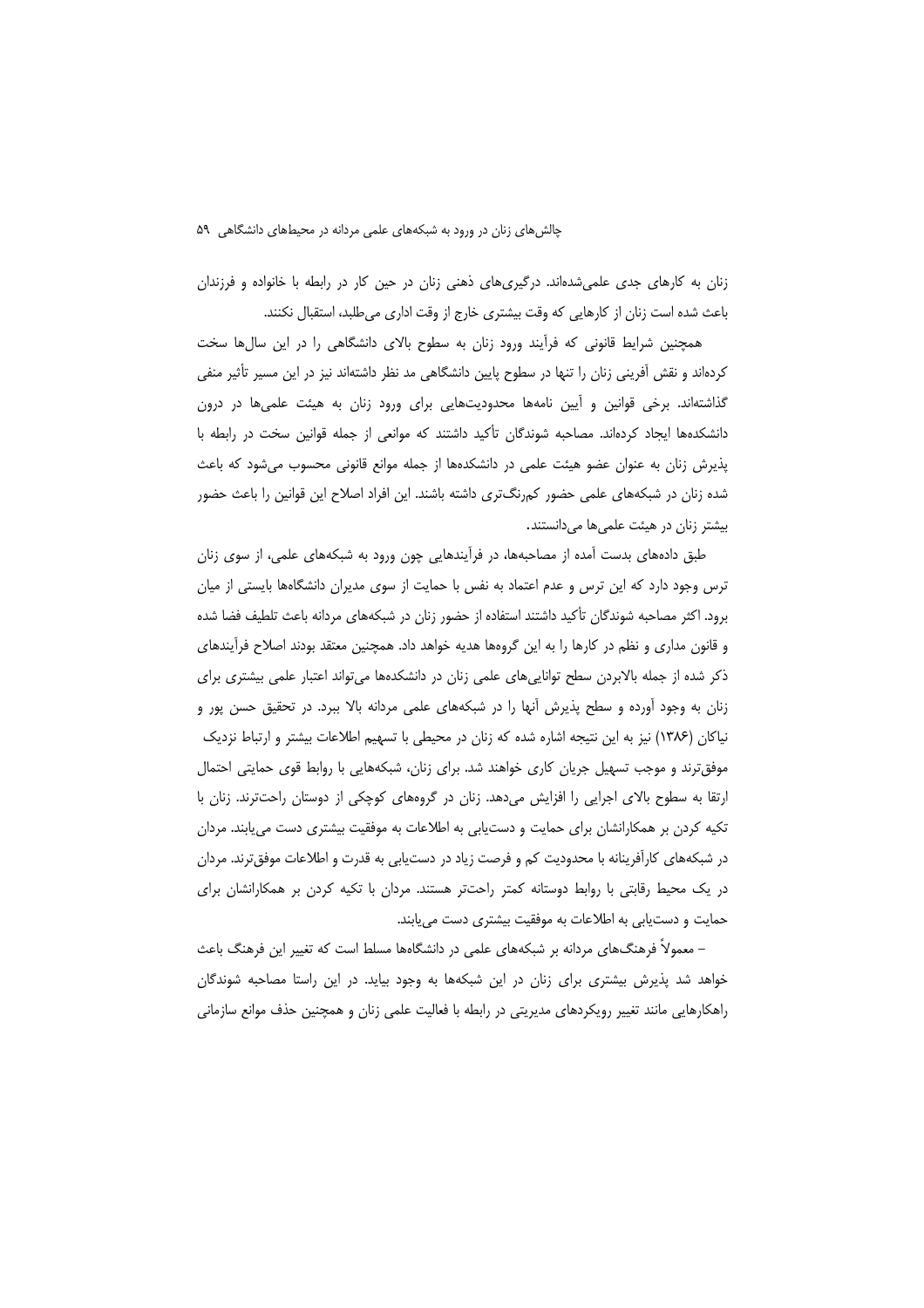زنان به کارهای جدی علمی شدهاند. درگیری های ذهنی زنان در حین کار در رابطه با خانواده و فرزندان باعث شده است زنان از كارهايي كه وقت بيشتري خارج از وقت اداري مي طلبد، استقبال نكنند.

همچنین شرایط قانونی که فرأیند ورود زنان به سطوح بالای دانشگاهی را در این سالها سخت کردهاند و نقش آفرینی زنان را تنها در سطوح پایین دانشگاهی مد نظر داشتهاند نیز در این مسیر تأثیر منفی گذاشتهاند. برخی قوانین و آیین نامهها محدودیتهایی برای ورود زنان به هیئت علمیها در درون دانشکدهها ایجاد کردهاند. مصاحبه شوندگان تأکید داشتند که موانعی از جمله قوانین سخت در رابطه با پذیرش زنان به عنوان عضو هیئت علمی در دانشکدهها از جمله موانع قانونی محسوب می شود که باعث شده زنان در شبکههای علمی حضور کمرنگتری داشته باشند. این افراد اصلاح این قوانین را باعث حضور بیشتر زنان در هیئت علمی ها می دانستند.

طبق دادههای بدست آمده از مصاحبهها، در فرآیندهایی چون ورود به شبکههای علمی، از سوی زنان ترس وجود دارد که این ترس و عدم اعتماد به نفس با حمایت از سوی مدیران دانشگاهها بایستی از میان برود. اکثر مصاحبه شوندگان تأکید داشتند استفاده از حضور زنان در شبکههای مردانه باعث تلطیف فضا شده و قانون مداری و نظم در کارها را به این گروهها هدیه خواهد داد. همچنین معتقد بودند اصلاح فرآیندهای ذکر شده از جمله بالابردن سطح تواناییهای علمی زنان در دانشکدهها میتواند اعتبار علمی بیشتری برای زنان به وجود آورده و سطح پذیرش آنها را در شبکههای علمی مردانه بالا ببرد. در تحقیق حسن پور و نیاکان (۱۳۸۶) نیز به این نتیجه اشاره شده که زنان در محیطی با تسهیم اطلاعات بیشتر و ارتباط نزدیک موفق ترند و موجب تسهیل جریان کاری خواهند شد. برای زنان، شبکههایی با روابط قوی حمایتی احتمال ارتقا به سطوح بالای اجرایی را افزایش میدهد. زنان در گروههای کوچکی از دوستان راحتترند. زنان با تکیه کردن بر همکارانشان برای حمایت و دستیابی به اطلاعات به موفقیت بیشتری دست می یابند. مردان در شبکههای کارآفرینانه با محدودیت کم و فرصت زیاد در دستیابی به قدرت و اطلاعات موفق ترند. مردان در یک محیط رقابتی با روابط دوستانه کمتر راحتتر هستند. مردان با تکیه کردن بر همکارانشان برای حمایت و دستیابی به اطلاعات به موفقیت بیشتری دست مییابند.

– معمولاً فرهنگهای مردانه بر شبکههای علمی در دانشگاهها مسلط است که تغییر این فرهنگ باعث خواهد شد پذیرش بیشتری برای زنان در این شبکهها به وجود بیاید. در این راستا مصاحبه شوندگان راهکارهایی مانند تغییر رویکردهای مدیریتی در رابطه با فعالیت علمی زنان و همچنین حذف موانع سازمانی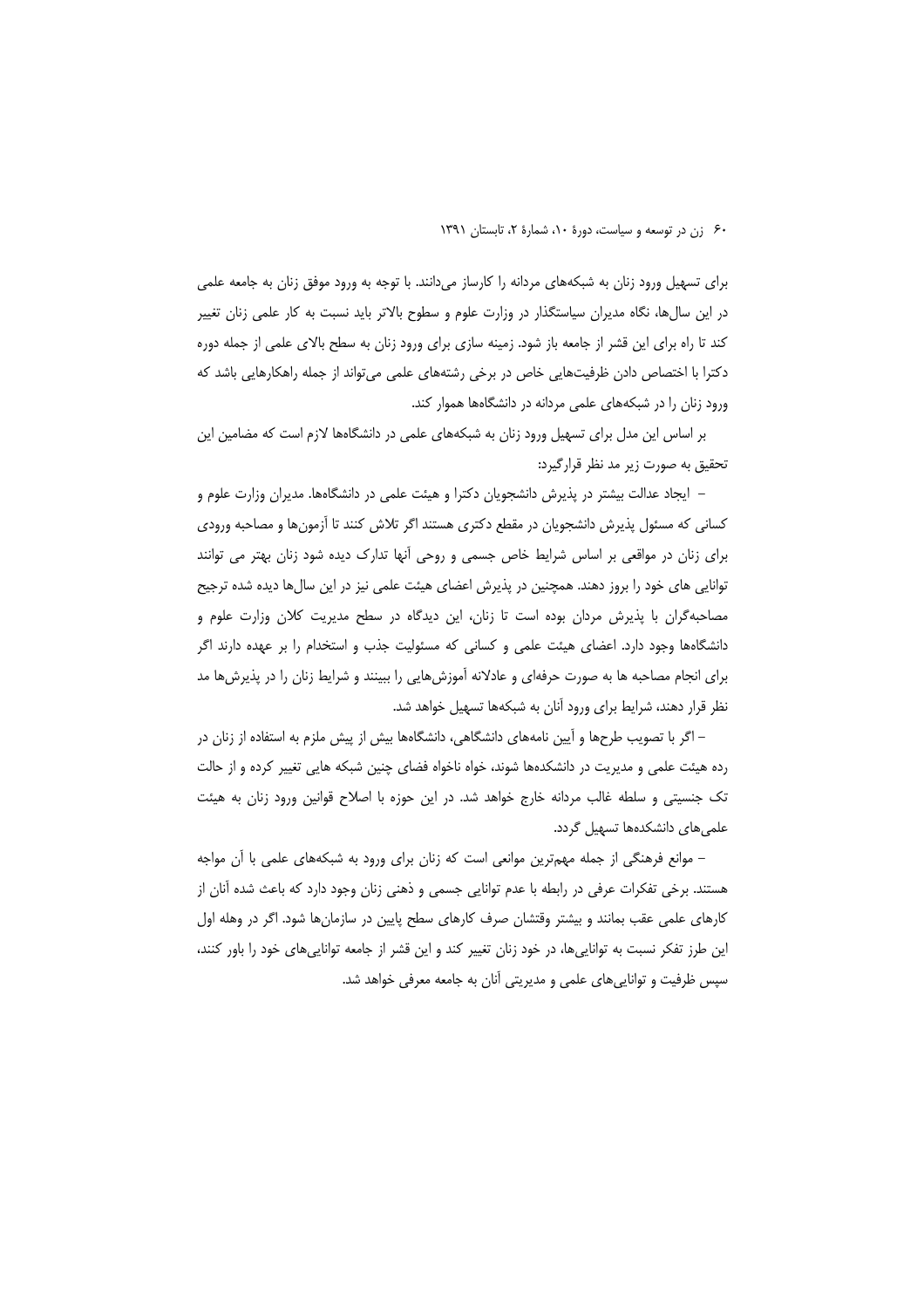برای تسهیل ورود زنان به شبکههای مردانه را کارساز میدانند. با توجه به ورود موفق زنان به جامعه علمی در این سال@ا، نگاه مدیران سیاستگذار در وزارت علوم و سطوح بالاتر باید نسبت به کار علمی زنان تغییر کند تا راه برای این قشر از جامعه باز شود. زمینه سازی برای ورود زنان به سطح بالای علمی از جمله دوره دکترا با اختصاص دادن ظرفیتهایی خاص در برخی رشتههای علمی میتواند از جمله راهکارهایی باشد که ورود زنان را در شبکههای علمی مردانه در دانشگاهها هموار کند.

بر اساس این مدل برای تسهیل ورود زنان به شبکههای علمی در دانشگاهها لازم است که مضامین این تحقیق به صورت زیر مد نظر قرارگیرد:

– ایجاد عدالت بیشتر در پذیرش دانشجویان دکترا و هیئت علمی در دانشگاهها. مدیران وزارت علوم و کسانی که مسئول پذیرش دانشجویان در مقطع دکتری هستند اگر تلاش کنند تا آزمونها و مصاحبه ورودی برای زنان در مواقعی بر اساس شرایط خاص جسمی و روحی آنها تدارک دیده شود زنان بهتر می توانند توانایی های خود را بروز دهند. همچنین در پذیرش اعضای هیئت علمی نیز در این سالها دیده شده ترجیح مصاحبهگران با پذیرش مردان بوده است تا زنان، این دیدگاه در سطح مدیریت کلان وزارت علوم و دانشگاهها وجود دارد. اعضای هیئت علمی و کسانی که مسئولیت جذب و استخدام را بر عهده دارند اگر برای انجام مصاحبه ها به صورت حرفهای و عادلانه آموزشهایی را ببینند و شرایط زنان را در پذیرشها مد نظر قرار دهند، شرایط برای ورود آنان به شبکهها تسهیل خواهد شد.

– اگر با تصویب طرحها و آیین نامههای دانشگاهی، دانشگاهها بیش از پیش ملزم به استفاده از زنان در رده هیئت علمی و مدیریت در دانشکدهها شوند، خواه ناخواه فضای چنین شبکه هایی تغییر کرده و از حالت تک جنسیتی و سلطه غالب مردانه خارج خواهد شد. در این حوزه با اصلاح قوانین ورود زنان به هیئت علمی های دانشکدهها تسهیل گردد.

– موانع فرهنگی از جمله مهمترین موانعی است که زنان برای ورود به شبکههای علمی با آن مواجه هستند. برخی تفکرات عرفی در رابطه با عدم توانایی جسمی و ذهنی زنان وجود دارد که باعث شده آنان از کارهای علمی عقب بمانند و بیشتر وقتشان صرف کارهای سطح پایین در سازمانها شود. اگر در وهله اول این طرز تفکر نسبت به تواناییها، در خود زنان تغییر کند و این قشر از جامعه تواناییهای خود را باور کنند، سپس ظرفیت و تواناییهای علمی و مدیریتی آنان به جامعه معرفی خواهد شد.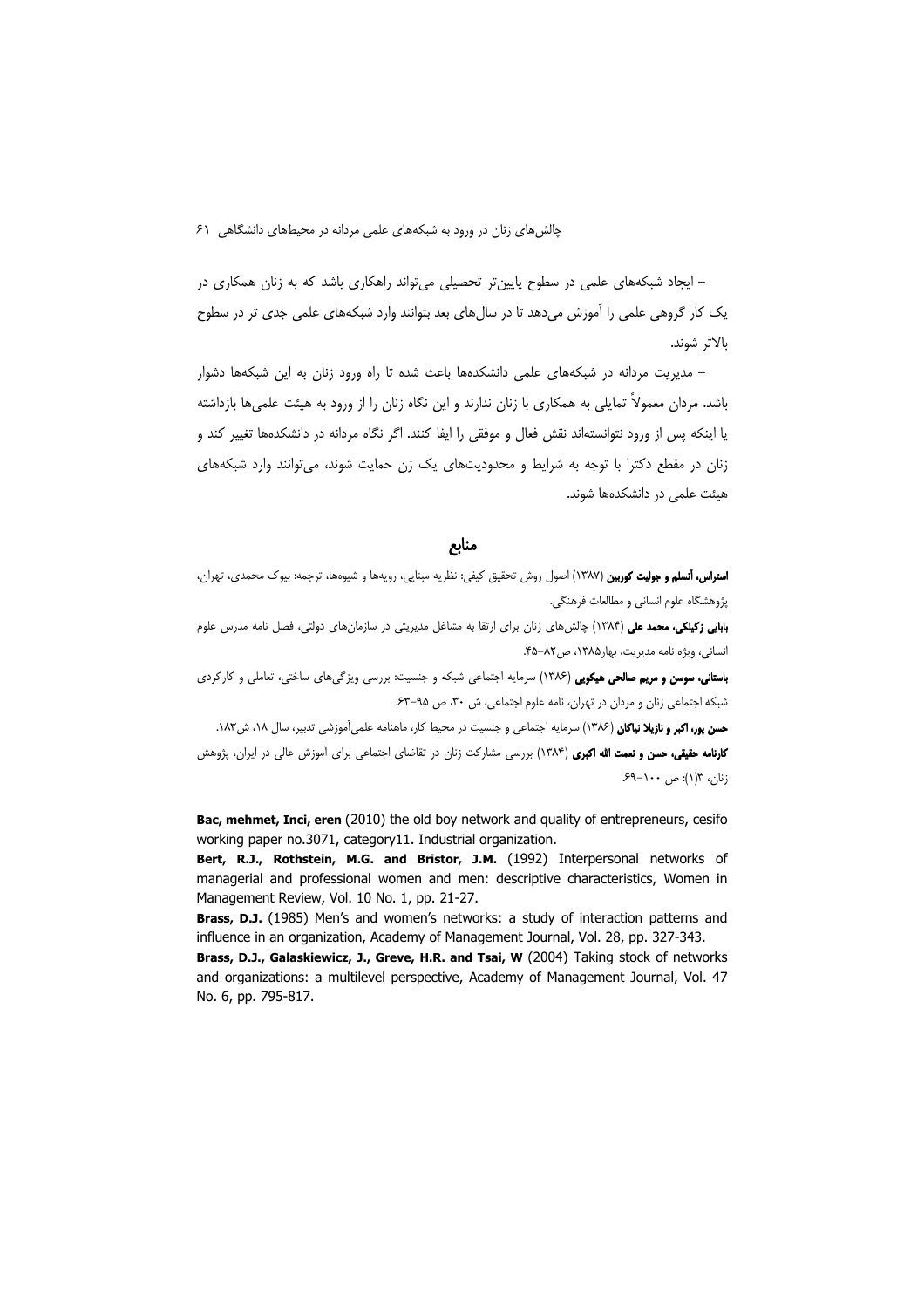– ایجاد شبکههای علمی در سطوح پایین تر تحصیلی می تواند راهکاری باشد که به زنان همکاری در یک کار گروهی علمی را اَموزش میدهد تا در سال های بعد بتوانند وارد شبکههای علمی جدی تر در سطوح بالاتر شوند.

– مدیریت مردانه در شبکههای علمی دانشکدهها باعث شده تا راه ورود زنان به این شبکهها دشوار باشد. مردان معمولاً تمایلی به همکاری با زنان ندارند و این نگاه زنان را از ورود به هیئت علمی ها بازداشته یا اینکه پس از ورود نتوانستهاند نقش فعال و موفقی را ایفا کنند. اگر نگاه مردانه در دانشکدهها تغییر کند و زنان در مقطع دکترا با توجه به شرایط و محدودیتهای یک زن حمایت شوند، می توانند وارد شبکههای هیئت علمی در دانشکدهها شوند.

#### منابع

ا**ستراس، آنسلم و جولیت کوربین** (۱۳۸۷) اصول روش تحقیق کیفی: نظریه مبنایی، رویهها و شیوهها، ترجمه: بیوک محمدی، تهران، پژوهشگاه علوم انسانی و مطالعات فرهنگی.

**بابایی زکیلکی، محمد علی (۱۳۸۴)** چالش های زنان برای ارتقا به مشاغل مدیریتی در سازمان های دولتی، فصل نامه مدرس علوم انسانی، ویژه نامه مدیریت، بهار ۱۳۸۵، ص۸۲-۴۵.

**باستانی، سوسن و مریم صالحی هیکویی** (۱۳۸۶) سرمایه اجتماعی شبکه و جنسیت: بررسی ویزگیهای ساختی، تعاملی و کارکردی شبکه اجتماعی زنان و مردان در تهران، نامه علوم اجتماعی، ش ۳۰، ص ۹۵–۶۳

حسن یور، اکبر و نازیلا نیاکان (۱۳۸۶) سرمایه اجتماعی و جنسیت در محیط کار، ماهنامه علمی آموزشی تدبیر، سال ۱۸۲، ش۱۸۳. **کارنامه حقیقی، حسن و نعمت الله اکبری** (۱۳۸۴) بررسی مشارکت زنان در تقاضای اجتماعی برای آموزش عالی در ایران، پژوهش زنان، ۱۳(۱): ص ۱۰۰-۶۹

Bac, mehmet, Inci, eren (2010) the old boy network and quality of entrepreneurs, cesifo working paper no.3071, category11. Industrial organization.

Bert, R.J., Rothstein, M.G. and Bristor, J.M. (1992) Interpersonal networks of managerial and professional women and men: descriptive characteristics, Women in Management Review, Vol. 10 No. 1, pp. 21-27.

Brass, D.J. (1985) Men's and women's networks: a study of interaction patterns and influence in an organization, Academy of Management Journal, Vol. 28, pp. 327-343.

Brass, D.J., Galaskiewicz, J., Greve, H.R. and Tsai, W (2004) Taking stock of networks and organizations: a multilevel perspective, Academy of Management Journal, Vol. 47 No. 6, pp. 795-817.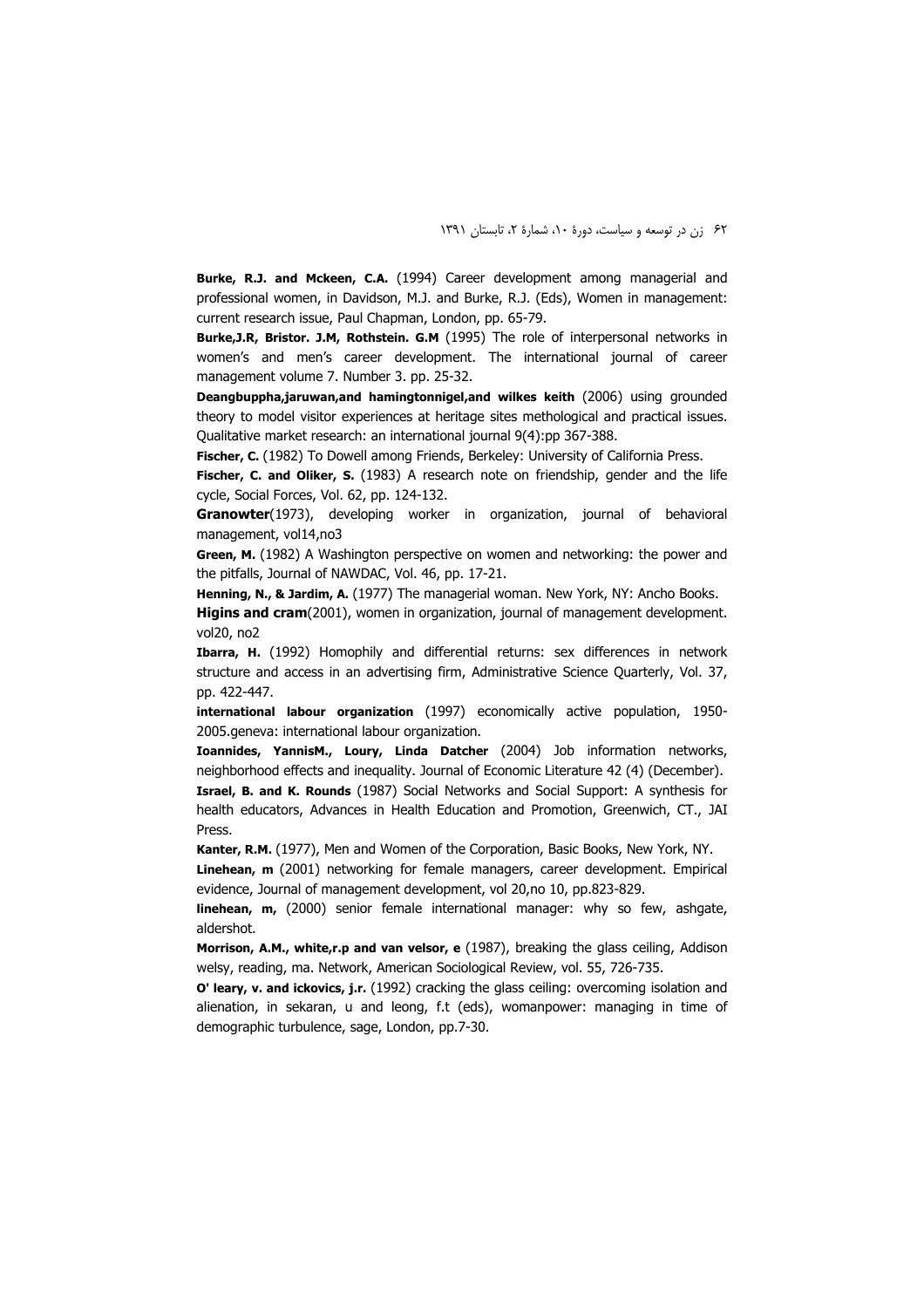Burke, R.J. and Mckeen, C.A. (1994) Career development among managerial and professional women, in Davidson, M.J. and Burke, R.J. (Eds), Women in management: current research issue, Paul Chapman, London, pp. 65-79.

Burke, J.R, Bristor. J.M, Rothstein. G.M (1995) The role of interpersonal networks in women's and men's career development. The international journal of career management volume 7. Number 3. pp. 25-32.

Deangbuppha,jaruwan,and hamingtonnigel,and wilkes keith (2006) using grounded theory to model visitor experiences at heritage sites methological and practical issues. Oualitative market research: an international journal 9(4):pp 367-388.

Fischer, C. (1982) To Dowell among Friends, Berkeley: University of California Press.

Fischer, C. and Oliker, S. (1983) A research note on friendship, gender and the life cycle, Social Forces, Vol. 62, pp. 124-132.

Granowter(1973), developing worker in organization, journal of behavioral management, vol14,no3

Green, M. (1982) A Washington perspective on women and networking: the power and the pitfalls, Journal of NAWDAC, Vol. 46, pp. 17-21.

Henning, N., & Jardim, A. (1977) The managerial woman. New York, NY: Ancho Books.

Higins and cram(2001), women in organization, journal of management development. vol20, no2

Ibarra, H. (1992) Homophily and differential returns: sex differences in network structure and access in an advertising firm, Administrative Science Ouarterly, Vol. 37, pp. 422-447.

international labour organization (1997) economically active population, 1950-2005.geneva: international labour organization.

Ioannides, YannisM., Loury, Linda Datcher (2004) Job information networks, neighborhood effects and inequality. Journal of Economic Literature 42 (4) (December).

Israel, B. and K. Rounds (1987) Social Networks and Social Support: A synthesis for health educators, Advances in Health Education and Promotion, Greenwich, CT., JAI Press.

Kanter, R.M. (1977), Men and Women of the Corporation, Basic Books, New York, NY.

Linehean, m (2001) networking for female managers, career development. Empirical evidence, Journal of management development, vol 20,no 10, pp.823-829.

linehean, m, (2000) senior female international manager: why so few, ashgate, aldershot.

Morrison, A.M., white,r.p and van velsor, e (1987), breaking the glass ceiling, Addison welsy, reading, ma. Network, American Sociological Review, vol. 55, 726-735.

O' leary, v. and ickovics, j.r. (1992) cracking the glass ceiling: overcoming isolation and alienation, in sekaran, u and leong, f.t (eds), womanpower: managing in time of demographic turbulence, sage, London, pp.7-30.